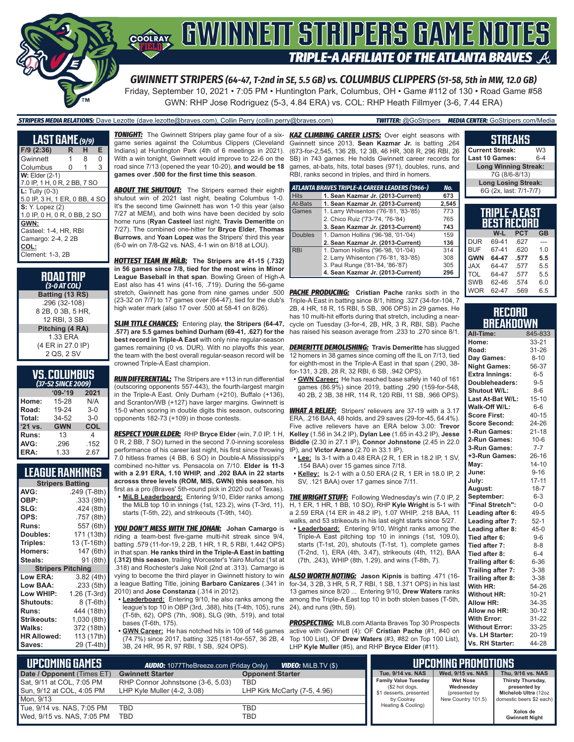

Friday, September 10, 2021 • 7:05 PM • Huntington Park, Columbus, OH • Game #112 of 130 • Road Game #58

GWN: RHP Jose Rodriguez (5-3, 4.84 ERA) vs. COL: RHP Heath Fillmyer (3-6, 7.44 ERA)

| <b>STRIPERS MEDIA RELATIONS:</b> Dave Lezotte (dave.lezotte@braves.com), Collin Perry (collin.perry@braves.com) | <b>TWITTER:</b> @GoStripers <b>MEDIA CENTER:</b> GoStripers.com/Media |
|-----------------------------------------------------------------------------------------------------------------|-----------------------------------------------------------------------|
|                                                                                                                 |                                                                       |

| <b>LAST GAME</b> (9/9)        |   |   |   |
|-------------------------------|---|---|---|
| $F/9$ (2:36)                  | R | н | Е |
| Gwinnett                      | 1 | 8 | 0 |
| Columbus                      | 0 | 1 | 3 |
| $W:$ Elder $(2-1)$            |   |   |   |
| 7.0 IP, 1 H, 0 R, 2 BB, 7 SO  |   |   |   |
| $L:$ Tully (0-3)              |   |   |   |
| 5.0 IP, 3 H, 1 ER, 0 BB, 4 SO |   |   |   |
| <b>S:</b> Y. Lopez (2)        |   |   |   |
| 1.0 IP, 0 H, 0 R, 0 BB, 2 SO  |   |   |   |
| GWN:                          |   |   |   |
| Casteel: 1-4. HR. RBI         |   |   |   |
| Camargo: 2-4, 22B             |   |   |   |
| COL:                          |   |   |   |
| Clement: 1-3, 2B              |   |   |   |

**ROAD TRIP** *(3-0 AT COL)* **Batting (13 RS)** .296 (32-108) 8 2B, 0 3B, 5 HR, 12 RBI, 3 SB **Pitching (4 RA)** 1.33 ERA (4 ER in 27.0 IP) 2 QS, 2 SV

### **VS. COLUMBUS**

| (37-52 SINCE 2009) |            |         |  |  |
|--------------------|------------|---------|--|--|
|                    | $09 - 19$  | 2021    |  |  |
| Home:              | 15-28      | N/A     |  |  |
| Road:              | 19-24      | $3-0$   |  |  |
| Total:             | 34-52      | $3 - 0$ |  |  |
| $'21$ vs.          | <b>GWN</b> | COL     |  |  |
| Runs:              | 13         | 4       |  |  |
| AVG:               | .296       | .152    |  |  |
| ERA:               | 1.33       | 2.67    |  |  |

#### **LEAGUE RANKINGS**

| <b>Stripers Batting</b>  |              |
|--------------------------|--------------|
| AVG:                     | .249 (T-8th) |
| OBP:                     | .333 (9th)   |
| SLG:                     | .424(8th)    |
| OPS:                     | .757 (8th)   |
| <b>Runs:</b>             | 557 (6th)    |
| <b>Doubles:</b>          | 171 (13th)   |
| Triples:                 | 13 (T-16th)  |
| <b>Homers:</b>           | 147 (6th)    |
| Steals:                  | 91 (8th)     |
| <b>Stripers Pitching</b> |              |
| <b>Low ERA:</b>          | 3.82 (4th)   |
| Low BAA:                 | .233 (5th)   |
| Low WHIP:                | 1.26 (T-3rd) |
| <b>Shutouts:</b>         | 8 (T-6th)    |
| <b>Runs:</b>             | 444 (18th)   |
| Strikeouts:              | 1,030 (8th)  |
| Walks:                   | 372 (18th)   |
| <b>HR Allowed:</b>       | 113 (17th)   |
| Saves:                   | 29 (T-4th)   |
|                          |              |

*TONIGHT:* The Gwinnett Stripers play game four of a six-*KAZ CLIMBING CAREER LISTS:* Over eight seasons with game series against the Columbus Clippers (Cleveland Indians) at Huntington Park (4th of 6 meetings in 2021). With a win tonight, Gwinnett would improve to 22-6 on the road since 7/13 (opened the year 10-20), **and would be 18 games over .500 for the first time this season**.

**ABOUT THE SHUTOUT:** The Stripers earned their eighth shutout win of 2021 last night, beating Columbus 1-0. It's the second time Gwinnett has won 1-0 this year (also 7/27 at MEM), and both wins have been decided by solo home runs (**Ryan Casteel** last night, **Travis Demeritte** on 7/27). The combined one-hitter for **Bryce Elder**, **Thomas Burrows**, and **Yoan Lopez** was the Stripers' third this year (6-0 win on 7/8-G2 vs. NAS, 4-1 win on 8/18 at LOU).

*HOTTEST TEAM IN MiLB:* **The Stripers are 41-15 (.732) in 56 games since 7/8, tied for the most wins in Minor League Baseball in that span**. Bowling Green of High-A East also has 41 wins (41-16, .719). During the 56-game stretch, Gwinnett has gone from nine games under .500 (23-32 on 7/7) to 17 games over (64-47), tied for the club's high water mark (also 17 over .500 at 58-41 on 8/26).

*SLIM TITLE CHANCES:* Entering play, **the Stripers (64-47, .577) are 5.5 games behind Durham (69-41, .627) for the best record in Triple-A East** with only nine regular-season games remaining (0 vs. DUR). With no playoffs this year, the team with the best overall regular-season record will be crowned Triple-A East champion.

*RUN DIFFERENTIAL:* The Stripers are +113 in run differential (outscoring opponents 557-443), the fourth-largest margin in the Triple-A East. Only Durham (+210), Buffalo (+136), and Scranton/WB (+127) have larger margins. Gwinnett is 15-0 when scoring in double digits this season, outscoring opponents 182-73 (+109) in those contests.

*RESPECT YOUR ELDER:* RHP **Bryce Elder** (win, 7.0 IP, 1 H, 0 R, 2 BB, 7 SO) turned in the second 7.0-inning scoreless performance of his career last night, his first since throwing 7.0 hitless frames (4 BB, 6 SO) in Double-A Mississippi's

combined no-hitter vs. Pensacola on 7/10. **Elder is 11-3 with a 2.91 ERA, 1.10 WHIP, and .202 BAA in 22 starts acrosss three levels (ROM, MIS, GWN) this season**, his first as a pro (Braves' 5th-round pick in 2020 out of Texas).

**• MiLB Leaderboard:** Entering 9/10, Elder ranks among the MiLB top 10 in innings (1st, 123.2), wins (T-3rd, 11), starts (T-5th, 22), and strikeouts (T-9th, 140).

*YOU DON'T MESS WITH THE JOHAN:* **Johan Camargo** is riding a team-best five-game multi-hit streak since 9/4, batting .579 (11-for-19, 2 2B, 1 HR, 1 R, 5 RBI, 1.442 OPS) in that span. **He ranks third in the Triple-A East in batting (.312) this season**, trailing Worcester's Yairo Muñoz (1st at .318) and Rochester's Jake Noll (2nd at .313). Camargo is vying to become the third player in Gwinnett history to win a league Batting Title, joining **Barbaro Canizares** (.341 in 2010) and **Jose Constanza** (.314 in 2012).

**• Leaderboard:** Entering 9/10, he also ranks among the league's top 10 in OBP (3rd, .388), hits (T-4th, 105), runs 24), and runs (9th, 59). (T-5th, 62), OPS (7th, .908), SLG (9th, .519), and total bases (T-6th, 175).

**• GWN Career:** He has notched hits in 109 of 146 games (74.7%) since 2017, batting .325 (181-for-557, 36 2B, 4 3B, 24 HR, 95 R, 97 RBI, 1 SB, .924 OPS).

Gwinnett since 2013, **Sean Kazmar Jr.** is batting .264 (673-for-2,545, 136 2B, 12 3B, 46 HR, 308 R, 296 RBI, 26 SB) in 743 games. He holds Gwinnett career records for games, at-bats, hits, total bases (971), doubles, runs, and RBI, ranks second in triples, and third in homers.

|                | ATLANTA BRAVES TRIPLE-A CAREER LEADERS (1966-) | No.   |
|----------------|------------------------------------------------|-------|
| <b>Hits</b>    | 1. Sean Kazmar Jr. (2013-Current)              | 673   |
| At-Bats        | 1. Sean Kazmar Jr. (2013-Current)              | 2,545 |
| Games          | 1. Larry Whisenton ('76-'81, '83-'85)          | 773   |
|                | 2. Chico Ruiz ('73-'74, '76-'84)               | 765   |
|                | 3. Sean Kazmar Jr. (2013-Current)              | 743   |
| <b>Doubles</b> | 1. Damon Hollins ('96-'98, '01-'04)            | 159   |
|                | 2. Sean Kazmar Jr. (2013-Current)              | 136   |
| <b>RBI</b>     | 1. Damon Hollins ('96-'98, '01-'04)            | 314   |
|                | 2. Larry Whisenton ('76-'81, '83-'85)          | 308   |
|                | 3. Paul Runge ('81-'84, '86-'87)               | 305   |
|                | 4. Sean Kazmar Jr. (2013-Current)              | 296   |

**PACHE PRODUCING:** Cristian Pache ranks sixth in the Triple-A East in batting since 8/1, hitting .327 (34-for-104, 7 2B, 4 HR, 18 R, 15 RBI, 5 SB, .906 OPS) in 29 games. He has 10 multi-hit efforts during that stretch, including a nearcycle on Tuesday (3-for-4, 2B, HR, 3 R, RBI, SB). Pache has raised his season average from .233 to .270 since 8/1.

*DEMERITTE DEMOLISHING:* **Travis Demeritte** has slugged 12 homers in 38 games since coming off the IL on 7/13, tied for eighth-most in the Triple-A East in that span (.290, 38 for-131, 3 2B, 28 R, 32 RBI, 6 SB, .942 OPS).

**• GWN Career:** He has reached base safely in 140 of 161 games (86.9%) since 2019, batting .290 (159-for-548, 40 2B, 2 3B, 38 HR, 114 R, 120 RBI, 11 SB, .966 OPS).

*WHAT A RELIEF:* Stripers' relievers are 37-19 with a 3.17 ERA, .216 BAA, 48 holds, and 29 saves (29-for-45, 64.4%). Five active relievers have an ERA below 3.00: **Trevor Kelley** (1.56 in 34.2 IP), **Dylan Lee** (1.65 in 43.2 IP), **Jesse Biddle** (2.30 in 27.1 IP), **Connor Johnstone** (2.45 in 22.0 IP), and **Victor Arano** (2.70 in 33.1 IP).

- **• Lee:** Is 3-1 with a 0.48 ERA (2 R, 1 ER in 18.2 IP, 1 SV, .154 BAA) over 15 games since 7/18.
- **• Kelley:** Is 2-1 with a 0.50 ERA (2 R, 1 ER in 18.0 IP, 2 SV, .121 BAA) over 17 games since 7/11.

*THE WRIGHT STUFF:* Following Wednesday's win (7.0 IP, 2 H, 1 ER, 1 HR, 1 BB, 10 SO), RHP **Kyle Wright** is 5-1 with a 2.59 ERA (14 ER in 48.2 IP), 1.07 WHIP, 218 BAA, 11 walks, and 53 strikeouts in his last eight starts since 5/27.

**• Leaderboard:** Entering 9/10, Wright ranks among the Triple-A East pitching top 10 in innings (1st, 109.0), starts (T-1st, 20), shutouts (T-1st, 1), complete games (T-2nd, 1), ERA (4th, 3.47), strikeouts (4th, 112), BAA (7th, .243), WHIP (8th, 1.29), and wins (T-8th, 7).

*ALSO WORTH NOTING:* **Jason Kipnis** is batting .471 (16 for-34, 3 2B, 3 HR, 5 R, 7 RBI, 1 SB, 1.371 OPS) in his last 13 games since 8/20 ... Entering 9/10, **Drew Waters** ranks among the Triple-A East top 10 in both stolen bases (T-5th,

*PROSPECTING:* MLB.com Atlanta Braves Top 30 Prospects active with Gwinnett (4): OF **Cristian Pache** (#1, #40 on Top 100 List), OF **Drew Waters** (#3, #82 on Top 100 List), LHP **Kyle Muller** (#5), and RHP **Bryce Elder** (#11).

#### **TRIPLE-A EAST BEST RECORD W-L PCT GB Current Streak:** W3<br>Last 10 Games: 6-4 **Last 10 Games: Long Winning Streak:** 7G (8/6-8/13) **Long Losing Streak:** 6G (2x, last: 7/1-7/7)

**STREAKS**

|            | W-L   | PCT  | GB  |
|------------|-------|------|-----|
| <b>DUR</b> | 69-41 | .627 |     |
| <b>BUF</b> | 67-41 | .620 | 1.0 |
| <b>GWN</b> | 64-47 | .577 | 5.5 |
| <b>JAX</b> | 64-47 | .577 | 5.5 |
| <b>TOL</b> | 64-47 | .577 | 5.5 |
| <b>SWB</b> | 62-46 | .574 | 6.0 |
| <b>WOR</b> | 62-47 | .569 | 6.5 |
|            |       |      |     |

#### **RECORD BREAKDOWN**

| All-Time:             | 845-833   |
|-----------------------|-----------|
| Home:                 | 33-21     |
| Road:                 | 31-26     |
| Day Games:            | $8 - 10$  |
| <b>Night Games:</b>   | 56-37     |
| <b>Extra Innings:</b> | $6-5$     |
| Doubleheaders:        | $9-5$     |
| Shutout W/L:          | $8 - 6$   |
| Last At-Bat W/L:      | $15 - 10$ |
| Walk-Off W/L:         | $6-6$     |
| <b>Score First:</b>   | $40 - 15$ |
| <b>Score Second:</b>  | 24-26     |
| 1-Run Games:          | $21 - 18$ |
| 2-Run Games:          | $10 - 6$  |
| 3-Run Games:          | $7 - 7$   |
| +3-Run Games:         | $26 - 16$ |
| May:                  | $14 - 10$ |
| June:                 | $9 - 16$  |
| July:                 | 17-11     |
| August:               | $18 - 7$  |
| September:            | $6 - 3$   |
| "Final Stretch":      | $0-0$     |
| Leading after 6:      | 49-5      |
| Leading after 7:      | $52-1$    |
| Leading after 8:      | $45-0$    |
| Tied after 6:         | $9-6$     |
| Tied after 7:         | $8 - 8$   |
| Tied after 8:         | $6 - 4$   |
| Trailing after 6:     | $6 - 36$  |
| Trailing after 7:     | $3 - 38$  |
| Trailing after 8:     | $3 - 38$  |
| With HR:              | 54-26     |
| <b>Without HR:</b>    | $10 - 21$ |
| <b>Allow HR:</b>      | 34-35     |
| Allow no HR:          | $30 - 12$ |
| <b>With Error:</b>    | 31-22     |
| <b>Without Error:</b> | 33-25     |
| Vs. LH Starter:       | $20 - 19$ |
| Vs. RH Starter:       | 44-28     |

| <b>UPCOMING GAMES</b>                                     | <b>AUDIO:</b> 1077TheBreeze.com (Friday Only)<br><b>VIDEO:</b> MILB.TV (\$) |                                     |                                                                          | UPCOMING PROMOTIONS <b>'</b>                  |                                                           |
|-----------------------------------------------------------|-----------------------------------------------------------------------------|-------------------------------------|--------------------------------------------------------------------------|-----------------------------------------------|-----------------------------------------------------------|
| Date / Opponent (Times ET)                                | <b>Gwinnett Starter</b>                                                     | <b>Opponent Starter</b>             | Tue, 9/14 vs. NAS                                                        | Wed, 9/15 vs. NAS                             | Thu, 9/16 vs. NAS                                         |
| Sat, 9/11 at COL, 7:05 PM<br>Sun, 9/12 at COL, 4:05 PM    | RHP Connor Johnstsone (3-6, 5.03)<br>LHP Kyle Muller (4-2, 3.08)            | TBD<br>LHP Kirk McCarty (7-5, 4.96) | <b>Family Value Tuesday</b><br>(\$2 hot dogs,<br>\$1 desserts, presented | <b>Wet Nose</b><br>Wednesdav<br>(presented by | Thirsty Thursday,<br>presented by<br>Michelob Ultra (12oz |
| Mon. 9/13                                                 |                                                                             |                                     | by Coolrav                                                               | New Country 101.5)                            | domestic beers \$2 each)                                  |
| Tue, 9/14 vs. NAS, 7:05 PM <br>Wed, 9/15 vs. NAS, 7:05 PM | TBD<br>TBD                                                                  | TBD<br>TBD                          | Heating & Cooling)                                                       |                                               | Xolos de<br><b>Gwinnett Night</b>                         |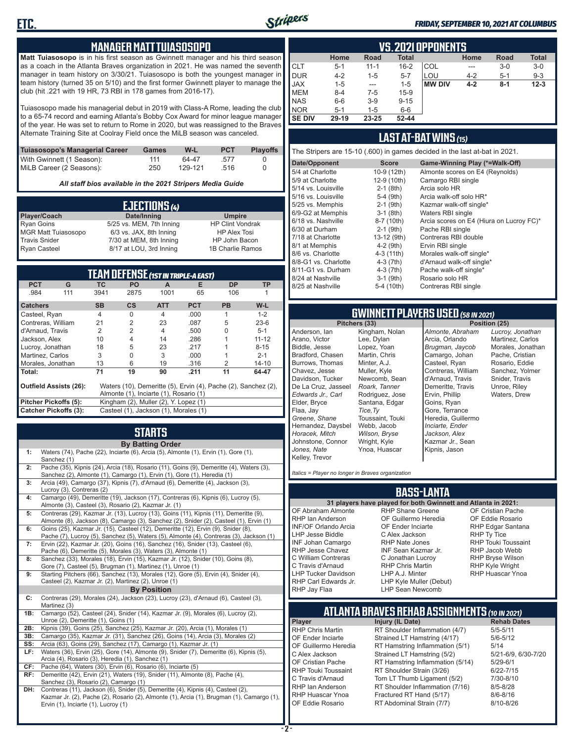

#### *FRIDAY, SEPTEMBER 10, 2021 AT COLUMBUS*

#### **MANAGER MATT TUIASOSOPO**

**Matt Tuiasosopo** is in his first season as Gwinnett manager and his third season as a coach in the Atlanta Braves organization in 2021. He was named the seventh manager in team history on 3/30/21. Tuiasosopo is both the youngest manager in team history (turned 35 on 5/10) and the first former Gwinnett player to manage the club (hit .221 with 19 HR, 73 RBI in 178 games from 2016-17).

Tuiasosopo made his managerial debut in 2019 with Class-A Rome, leading the club to a 65-74 record and earning Atlanta's Bobby Cox Award for minor league manager of the year. He was set to return to Rome in 2020, but was reassigned to the Braves Alternate Training Site at Coolray Field once the MiLB season was canceled.

| Tuiasosopo's Managerial Career | Games | W-L     | <b>PCT</b> | <b>Playoffs</b> |
|--------------------------------|-------|---------|------------|-----------------|
| With Gwinnett (1 Season):      | 111   | 64-47   | -577       |                 |
| MiLB Career (2 Seasons):       | 250   | 129-121 | -516       |                 |

*All staff bios available in the 2021 Stripers Media Guide*

|                            | EJECTIONS (4)            |                         |
|----------------------------|--------------------------|-------------------------|
| Player/Coach               | Date/Inning              | <b>Umpire</b>           |
| <b>Ryan Goins</b>          | 5/25 vs. MEM, 7th Inning | <b>HP Clint Vondrak</b> |
| <b>MGR Matt Tuiasosopo</b> | 6/3 vs. JAX, 8th Inning  | <b>HP Alex Tosi</b>     |
| <b>Travis Snider</b>       | 7/30 at MEM, 8th Inning  | HP John Bacon           |
| <b>Ryan Casteel</b>        | 8/17 at LOU, 3rd Inning  | 1B Charlie Ramos        |

|                               |     |           | <b>TEAM DEFENSE (1ST IN TRIPLE-A EAST)</b> |            |            |                                                                |           |
|-------------------------------|-----|-----------|--------------------------------------------|------------|------------|----------------------------------------------------------------|-----------|
| <b>PCT</b>                    | G   | <b>TC</b> | <b>PO</b>                                  | A          | Е          | <b>DP</b>                                                      | <b>TP</b> |
| .984                          | 111 | 3941      | 2875                                       | 1001       | 65         | 106                                                            |           |
| <b>Catchers</b>               |     | <b>SB</b> | $\mathsf{cs}$                              | <b>ATT</b> | <b>PCT</b> | <b>PB</b>                                                      | $W-L$     |
| Casteel, Ryan                 |     | 4         | O                                          | 4          | .000       |                                                                | $1 - 2$   |
| Contreras, William            |     | 21        | $\overline{2}$                             | 23         | .087       | 5                                                              | $23-6$    |
| d'Arnaud, Travis              |     | 2         | $\overline{2}$                             | 4          | .500       | U                                                              | $5 - 1$   |
| Jackson, Alex                 |     | 10        | 4                                          | 14         | .286       |                                                                | $11 - 12$ |
| Lucroy, Jonathan              |     | 18        | 5                                          | 23         | .217       |                                                                | $8 - 15$  |
| Martinez, Carlos              |     | 3         | 0                                          | 3          | .000       |                                                                | $2 - 1$   |
| Morales, Jonathan             |     | 13        | 6                                          | 19         | .316       | $\mathcal{P}$                                                  | $14 - 10$ |
| Total:                        |     | 71        | 19                                         | 90         | .211       | 11                                                             | 64-47     |
| <b>Outfield Assists (26):</b> |     |           |                                            |            |            | Waters (10), Demeritte (5), Ervin (4), Pache (2), Sanchez (2), |           |
|                               |     |           | Almonte (1), Inciarte (1), Rosario (1)     |            |            |                                                                |           |
| Pitcher Pickoffs (5):         |     |           | Kingham (2), Muller (2), Y. Lopez (1)      |            |            |                                                                |           |
| <b>Catcher Pickoffs (3):</b>  |     |           | Casteel (1), Jackson (1), Morales (1)      |            |            |                                                                |           |

# **STARTS**

|     | <b>By Batting Order</b>                                                                                                                                                         |
|-----|---------------------------------------------------------------------------------------------------------------------------------------------------------------------------------|
| 1:  | Waters (74), Pache (22), Inciarte (6), Arcia (5), Almonte (1), Ervin (1), Gore (1),<br>Sanchez (1)                                                                              |
| 2:  | Pache (35), Kipnis (24), Arcia (18), Rosario (11), Goins (9), Demeritte (4), Waters (3),<br>Sanchez (2), Almonte (1), Camargo (1), Ervin (1), Gore (1), Heredia (1)             |
| 3:  | Arcia (49), Camargo (37), Kipnis (7), d'Arnaud (6), Demeritte (4), Jackson (3),<br>Lucroy (3), Contreras (2)                                                                    |
| 4:  | Camargo (49), Demeritte (19), Jackson (17), Contreras (6), Kipnis (6), Lucroy (5),<br>Almonte (3), Casteel (3), Rosario (2), Kazmar Jr. (1)                                     |
| 5:  | Contreras (29), Kazmar Jr. (13), Lucroy (13), Goins (11), Kipnis (11), Demeritte (9),<br>Almonte (8), Jackson (8), Camargo (3), Sanchez (2), Snider (2), Casteel (1), Ervin (1) |
| 6:  | Goins (25), Kazmar Jr. (15), Casteel (12), Demeritte (12), Ervin (9), Snider (8),<br>Pache (7), Lucroy (5), Sanchez (5), Waters (5), Almonte (4), Contreras (3), Jackson (1)    |
| 7:  | Ervin (22), Kazmar Jr. (20), Goins (16), Sanchez (16), Snider (13), Casteel (6),<br>Pache (6), Demeritte (5), Morales (3), Waters (3), Almonte (1)                              |
| 8:  | Sanchez (33), Morales (18), Ervin (15), Kazmar Jr. (12), Snider (10), Goins (8),<br>Gore (7), Casteel (5), Brugman (1), Martinez (1), Unroe (1)                                 |
| 9:  | Starting Pitchers (66), Sanchez (13), Morales (12), Gore (5), Ervin (4), Snider (4),<br>Casteel (2), Kazmar Jr. (2), Martinez (2), Unroe (1)                                    |
|     | <b>By Position</b>                                                                                                                                                              |
| C:  | Contreras (29), Morales (24), Jackson (23), Lucroy (23), d'Arnaud (6), Casteel (3),<br>Martinez (3)                                                                             |
| 1B: | Camargo (52), Casteel (24), Snider (14), Kazmar Jr. (9), Morales (6), Lucroy (2),<br>Unroe (2), Demeritte (1), Goins (1)                                                        |
| 2B: | Kipnis (39), Goins (25), Sanchez (25), Kazmar Jr. (20), Arcia (1), Morales (1)                                                                                                  |
| 3B: | Camargo (35), Kazmar Jr. (31), Sanchez (26), Goins (14), Arcia (3), Morales (2)                                                                                                 |
| SS: | Arcia (63), Goins (29), Sanchez (17), Camargo (1), Kazmar Jr. (1)                                                                                                               |
| LF: | Waters (36), Ervin (25), Gore (14), Almonte (9), Snider (7), Demeritte (6), Kipnis (5),<br>Arcia (4), Rosario (3), Heredia (1), Sanchez (1)                                     |
| CF: | Pache (64), Waters (30), Ervin (6), Rosario (6), Inciarte (5)                                                                                                                   |
| RF: | Demeritte (42), Ervin (21), Waters (19), Snider (11), Almonte (8), Pache (4),<br>Sanchez (3), Rosario (2), Camargo (1)                                                          |
| DH: | Contreras (11), Jackson (6), Snider (5), Demeritte (4), Kipnis (4), Casteel (2),<br>Kazmar Jr. (2), Pache (2), Rosario (2), Almonte (1), Arcia (1), Brugman (1), Camargo (1),   |

Ervin (1), Inciarte (1), Lucroy (1)

|               | <b>VS.2021 OPPONENTS</b> |          |              |               |         |             |              |  |  |  |  |  |
|---------------|--------------------------|----------|--------------|---------------|---------|-------------|--------------|--|--|--|--|--|
|               | Home                     | Road     | <b>Total</b> |               | Home    | <b>Road</b> | <b>Total</b> |  |  |  |  |  |
| <b>CLT</b>    | $5 - 1$                  | $11 - 1$ | $16 - 2$     | COL           | ---     | $3-0$       | $3-0$        |  |  |  |  |  |
| <b>DUR</b>    | $4 - 2$                  | $1 - 5$  | $5 - 7$      | LOU           | $4 - 2$ | $5 - 1$     | $9 - 3$      |  |  |  |  |  |
| <b>JAX</b>    | $1 - 5$                  | ---      | $1 - 5$      | <b>MW DIV</b> | $4 - 2$ | $8 - 1$     | $12 - 3$     |  |  |  |  |  |
| <b>MEM</b>    | $8 - 4$                  | $7-5$    | $15-9$       |               |         |             |              |  |  |  |  |  |
| <b>NAS</b>    | $6-6$                    | $3-9$    | $9 - 15$     |               |         |             |              |  |  |  |  |  |
| <b>NOR</b>    | $5 - 1$                  | $1 - 5$  | $6-6$        |               |         |             |              |  |  |  |  |  |
| <b>SE DIV</b> | 29-19                    | 23-25    | $52 - 44$    |               |         |             |              |  |  |  |  |  |

#### **LAST AT-BAT WINS** *(15)*

The Stripers are 15-10 (.600) in games decided in the last at-bat in 2021.

| Date/Opponent        | <b>Score</b> | Game-Winning Play (*=Walk-Off)           |
|----------------------|--------------|------------------------------------------|
| 5/4 at Charlotte     | 10-9 (12th)  | Almonte scores on E4 (Reynolds)          |
| 5/9 at Charlotte     | 12-9 (10th)  | Camargo RBI single                       |
| 5/14 vs. Louisville  | $2-1$ (8th)  | Arcia solo HR                            |
| 5/16 vs. Louisville  | 5-4 (9th)    | Arcia walk-off solo HR*                  |
| 5/25 vs. Memphis     | $2-1$ (9th)  | Kazmar walk-off single*                  |
| 6/9-G2 at Memphis    | $3-1$ (8th)  | Waters RBI single                        |
| 6/18 vs. Nashville   | 8-7 (10th)   | Arcia scores on E4 (Hiura on Lucroy FC)* |
| 6/30 at Durham       | $2-1$ (9th)  | Pache RBI single                         |
| 7/18 at Charlotte    | 13-12 (9th)  | Contreras RBI double                     |
| 8/1 at Memphis       | $4-2$ (9th)  | Ervin RBI single                         |
| 8/6 vs. Charlotte    | $4-3(11th)$  | Morales walk-off single*                 |
| 8/8-G1 vs. Charlotte | $4-3$ (7th)  | d'Arnaud walk-off single*                |
| 8/11-G1 vs. Durham   | $4-3(7th)$   | Pache walk-off single*                   |
| 8/24 at Nashville    | $3-1$ (9th)  | Rosario solo HR                          |
| 8/25 at Nashville    | 5-4 (10th)   | Contreras RBI single                     |
|                      |              |                                          |

# **GWINNETT PLAYERS USED** *(58 IN 2021)*

**Pitchers (33)** Anderson, Ian Arano, Victor Biddle, Jesse Bradford, Chasen Burrows, Thomas Chavez, Jesse Davidson, Tucker De La Cruz, Jasseel *Edwards Jr., Carl* Elder, Bryce Flaa, Jay *Greene, Shane*  Hernandez, Daysbel *Horacek, Mitch* Johnstone, Connor *Jones, Nate* Kelley, Trevor Kingham, Nolan Lee, Dylan Lopez, Yoan Martin, Chris Minter, A.J. Muller, Kyle Newcomb, Sean *Roark, Tanner* Rodriguez, Jose Santana, Edgar *Tice,Ty* Toussaint, Touki Webb, Jacob *Wilson, Bryse* Wright, Kyle Ynoa, Huascar

*Almonte, Abraham* Arcia, Orlando *Brugman, Jaycob* Camargo, Johan Casteel, Ryan Contreras, William d'Arnaud, Travis Demeritte, Travis Ervin, Phillip Goins, Ryan Gore, Terrance Heredia, Guillermo *Inciarte, Ender Jackson, Alex* Kazmar Jr., Sean Kipnis, Jason

*Lucroy, Jonathan* Martinez, Carlos Morales, Jonathan Pache, Cristian Rosario, Eddie Sanchez, Yolmer Snider, Travis Unroe, Riley Waters, Drew

*Italics = Player no longer in Braves organization*

#### **BASS-LANTA**

OF Abraham Almonte RHP Ian Anderson INF/OF Orlando Arcia LHP Jesse Biddle INF Johan Camargo RHP Jesse Chavez C William Contreras C Travis d'Arnaud LHP Tucker Davidson RHP Carl Edwards Jr. RHP Jay Flaa

**31 players have played for both Gwinnett and Atlanta in 2021:** RHP Shane Greene OF Guillermo Heredia OF Ender Inciarte C Alex Jackson RHP Nate Jones INF Sean Kazmar Jr. C Jonathan Lucroy RHP Chris Martin LHP A.J. Minter LHP Kyle Muller (Debut) LHP Sean Newcomb

OF Cristian Pache OF Eddie Rosario RHP Edgar Santana RHP Ty Tice RHP Touki Toussaint RHP Jacob Webb RHP Bryse Wilson RHP Kyle Wright RHP Huascar Ynoa

# **ATLANTA BRAVES REHAB ASSIGNMENTS** *(10 IN 2021)*

**Player Injury (IL Date)** 

RHP Chris Martin RT Shoulder Inflammation (4/7) 5/5-5/11 OF Ender Inciarte Strained LT Hamstring (4/17) 5/6-5<br>OF Guillermo Heredia RT Hamstring Inflammation (5/1) 5/14 RT Hamstring Inflammation (5/1) 5/14<br>Strained LT Hamstring (5/2) 5/21-6/9, 6/30-7/20 C Alex Jackson Strained LT Hamstring (5/2) OF Cristian Pache RT Hamstring Inflammation (5/14) 5/29-6/1<br>RHP Touki Toussaint RT Shoulder Strain (3/26) 6/22-7/15 RHP Touki Toussaint RT Shoulder Strain (3/26) 6/22-7/15<br>C Travis d'Arnaud Torn LT Thumb Ligament (5/2) 7/30-8/10 Torn LT Thumb Ligament (5/2) RHP Ian Anderson RT Shoulder Inflammation (7/16) 8/5-8/28<br>RHP Huascar Ynoa Fractured RT Hand (5/17) 8/6-8/16 RHP Huascar Ynoa Fractured RT Hand (5/17) 8/6-8/16 RT Abdominal Strain (7/7)

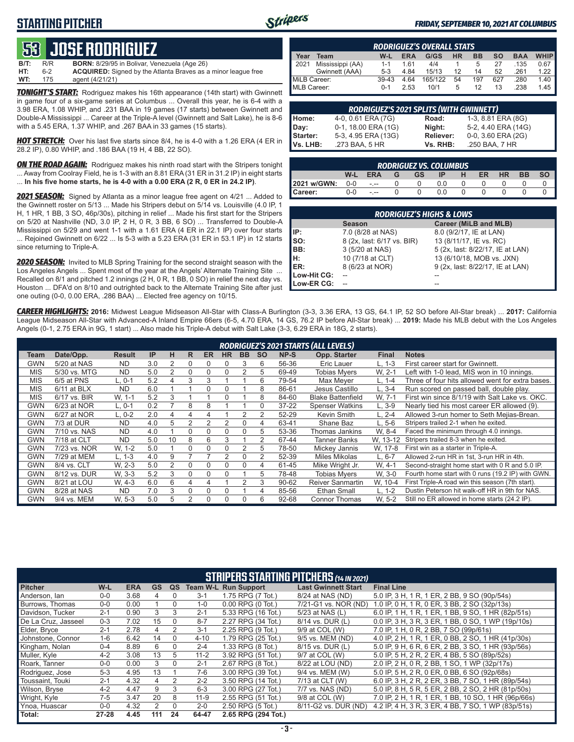### **STARTING PITCHER**



#### *FRIDAY, SEPTEMBER 10, 2021 AT COLUMBUS*

# **53****JOSE RODRIGUEZ**

**B/T:** R/R **BORN:** 8/29/95 in Bolivar, Venezuela (Age 26) ACQUIRED: Signed by the Atlanta Braves as a minor league free **WT:** 175 agent (4/21/21)

*TONIGHT'S START:* Rodriguez makes his 16th appearance (14th start) with Gwinnett in game four of a six-game series at Columbus ... Overall this year, he is 6-4 with a 3.98 ERA, 1.08 WHIP, and .231 BAA in 19 games (17 starts) between Gwinnett and Double-A Mississippi ... Career at the Triple-A level (Gwinnett and Salt Lake), he is 8-6 with a 5.45 ERA, 1.37 WHIP, and .267 BAA in 33 games (15 starts).

*HOT STRETCH:* Over his last five starts since 8/4, he is 4-0 with a 1.26 ERA (4 ER in 28.2 IP), 0.80 WHIP, and .186 BAA (19 H, 4 BB, 22 SO).

**ON THE ROAD AGAIN:** Rodriguez makes his ninth road start with the Stripers tonight ... Away from Coolray Field, he is 1-3 with an 8.81 ERA (31 ER in 31.2 IP) in eight starts ... **In his five home starts, he is 4-0 with a 0.00 ERA (2 R, 0 ER in 24.2 IP)**.

*2021 SEASON:* Signed by Atlanta as a minor league free agent on 4/21 ... Added to the Gwinnett roster on 5/13 ... Made his Stripers debut on 5/14 vs. Louisville (4.0 IP, 1 H, 1 HR, 1 BB, 3 SO, 46p/30s), pitching in relief ... Made his first start for the Stripers on 5/20 at Nashville (ND, 3.0 IP, 2 H, 0 R, 3 BB, 6 SO) ... Transferred to Double-A Mississippi on 5/29 and went 1-1 with a 1.61 ERA (4 ER in 22.1 IP) over four starts ... Rejoined Gwinnett on 6/22 ... Is 5-3 with a 5.23 ERA (31 ER in 53.1 IP) in 12 starts since returning to Triple-A.

*2020 SEASON:* Invited to MLB Spring Training for the second straight season with the Los Angeles Angels ... Spent most of the year at the Angels' Alternate Training Site ... Recalled on 8/1 and pitched 1.2 innings (2 H, 0 R, 1 BB, 0 SO) in relief the next day vs. Houston ... DFA'd on 8/10 and outrighted back to the Alternate Training Site after just one outing (0-0, 0.00 ERA, .286 BAA) ... Elected free agency on 10/15.

|              | <b>RODRIGUEZ'S OVERALL STATS</b> |         |            |         |           |           |     |            |             |  |  |
|--------------|----------------------------------|---------|------------|---------|-----------|-----------|-----|------------|-------------|--|--|
| Year         | Team                             | W-L     | <b>ERA</b> | G/GS    | <b>HR</b> | <b>BB</b> | so  | <b>BAA</b> | <b>WHIP</b> |  |  |
| 2021         | Mississippi (AA)                 | $1 - 1$ | 161        | 4/4     |           | 5         | 27  | .135       | 0.67        |  |  |
|              | Gwinnett (AAA)                   | $5-3$   | 4.84       | 15/13   | 12        | 14        | 52  | .261       | 1.22        |  |  |
| MiLB Career: |                                  | $39-43$ | 4.64       | 165/122 | 54        | 197       | 627 | .280       | 1.40        |  |  |
| MLB Career:  |                                  | $0 - 1$ | 2.53       | 10/1    | 5         | 12        | 13  | .238       | 1.45        |  |  |

|                 | <b>RODRIGUEZ'S 2021 SPLITS (WITH GWINNETT)</b> |           |                     |
|-----------------|------------------------------------------------|-----------|---------------------|
| Home:           | 4-0, 0.61 ERA (7G)                             | Road:     | 1-3, 8.81 ERA (8G)  |
| Day:            | 0-1, 18.00 ERA (1G)                            | Night:    | 5-2, 4.40 ERA (14G) |
| Starter:        | 5-3, 4.95 ERA (13G)                            | Reliever: | 0-0, 3.60 ERA (2G)  |
| <b>Vs. LHB:</b> | .273 BAA, 5 HR                                 | Vs. RHB:  | .250 BAA, 7 HR      |

| <b>RODRIGUEZ VS. COLUMBUS</b> |            |            |  |           |     |  |    |           |           |           |
|-------------------------------|------------|------------|--|-----------|-----|--|----|-----------|-----------|-----------|
|                               | $W-L$      | <b>ERA</b> |  | <b>GS</b> | IP. |  | ER | <b>HR</b> | <b>BB</b> | <b>SO</b> |
| 2021 w/GWN:                   | $0-0$ -.-- |            |  |           | 0.0 |  |    |           |           |           |
| <b>I</b> Career:              | $0 - 0$    | $ -$       |  |           | 0 Q |  |    |           |           |           |

|             | <b>RODRIGUEZ'S HIGHS &amp; LOWS</b> |                                  |  |  |  |  |  |  |  |  |  |
|-------------|-------------------------------------|----------------------------------|--|--|--|--|--|--|--|--|--|
|             | <b>Season</b>                       | <b>Career (MiLB and MLB)</b>     |  |  |  |  |  |  |  |  |  |
| IIP:        | 7.0 (8/28 at NAS)                   | 8.0 (9/2/17, IE at LAN)          |  |  |  |  |  |  |  |  |  |
| Iso:        | 8 (2x, last: 6/17 vs. BIR)          | 13 (8/11/17, IE vs. RC)          |  |  |  |  |  |  |  |  |  |
| BB:         | 3 (5/20 at NAS)                     | 5 (2x, last: 8/22/17, IE at LAN) |  |  |  |  |  |  |  |  |  |
| IH:         | 10 (7/18 at CLT)                    | 13 (6/10/18, MOB vs. JXN)        |  |  |  |  |  |  |  |  |  |
| <b>IER:</b> | 8 (6/23 at NOR)                     | 9 (2x, last: 8/22/17, IE at LAN) |  |  |  |  |  |  |  |  |  |
| Low-Hit CG: |                                     |                                  |  |  |  |  |  |  |  |  |  |
| Low-ER CG:  |                                     |                                  |  |  |  |  |  |  |  |  |  |

*CAREER HIGHLIGHTS:* **2016:** Midwest League Midseason All-Star with Class-A Burlington (3-3, 3.36 ERA, 13 GS, 64.1 IP, 52 SO before All-Star break) ... **2017:** California League Midseason All-Star with Advanced-A Inland Empire 66ers (6-5, 4.70 ERA, 14 GS, 76.2 IP before All-Star break) ... **2019:** Made his MLB debut with the Los Angeles Angels (0-1, 2.75 ERA in 9G, 1 start) ... Also made his Triple-A debut with Salt Lake (3-3, 6.29 ERA in 18G, 2 starts).

|            | <b>RODRIGUEZ'S 2021 STARTS (ALL LEVELS)</b> |               |     |    |               |          |                |           |           |             |                          |              |                                                   |
|------------|---------------------------------------------|---------------|-----|----|---------------|----------|----------------|-----------|-----------|-------------|--------------------------|--------------|---------------------------------------------------|
| Team       | Date/Opp.                                   | <b>Result</b> | IP  | н  | R             | ER       | <b>HR</b>      | <b>BB</b> | <b>SO</b> | <b>NP-S</b> | Opp. Starter             | <b>Final</b> | <b>Notes</b>                                      |
| <b>GWN</b> | 5/20 at NAS                                 | <b>ND</b>     | 3.0 | 2  | 0             | $\Omega$ | O              | 3         | 6         | 56-36       | Eric Lauer               | L. 1-3       | First career start for Gwinnett.                  |
| <b>MIS</b> | 5/30 vs. MTG                                | <b>ND</b>     | 5.0 | 2  | 0             | 0        | $\Omega$       |           | 5         | 69-49       | <b>Tobias Mvers</b>      | W. 2-1       | Left with 1-0 lead, MIS won in 10 innings.        |
| <b>MIS</b> | 6/5 at PNS                                  | L. 0-1        | 5.2 | 4  | 3             | 3        |                |           | 6         | 79-54       | Max Mever                | L. 1-4       | Three of four hits allowed went for extra bases.  |
| <b>MIS</b> | $6/11$ at BLX                               | <b>ND</b>     | 6.0 |    |               |          | 0              |           | 8         | 86-61       | Jesus Castillo           | L. 3-4       | Run scored on passed ball, double play.           |
| <b>MIS</b> | 6/17 vs. BIR                                | W, 1-1        | 5.2 | 3  |               |          |                |           | 8         | 84-60       | <b>Blake Battenfield</b> | W. 7-1       | First win since 8/1/19 with Salt Lake vs. OKC.    |
| <b>GWN</b> | 6/23 at NOR                                 | $L, 0-1$      | 0.2 |    | 8             | 8        |                |           | 0         | $37 - 22$   | <b>Spenser Watkins</b>   | $-.3-9$      | Nearly tied his most career ER allowed (9).       |
| <b>GWN</b> | 6/27 at NOR                                 | L. 0-2        | 2.0 | 4  | 4             |          |                |           | 2         | 52-29       | Kevin Smith              | $-2 - 4$     | Allowed 3-run homer to Seth Mejias-Brean.         |
| <b>GWN</b> | 7/3 at DUR                                  | <b>ND</b>     | 4.0 | 5  | $\mathcal{P}$ | 2        | $\overline{2}$ |           | 4         | 63-41       | Shane Baz                | $L.5-6$      | Stripers trailed 2-1 when he exited.              |
| <b>GWN</b> | 7/10 vs. NAS                                | <b>ND</b>     | 4.0 |    |               |          | 0              |           | 5         | 53-36       | Thomas Jankins           | W. 8-4       | Faced the minimum through 4.0 innings.            |
| <b>GWN</b> | 7/18 at CLT                                 | <b>ND</b>     | 5.0 | 10 | 8             | 6        | 3              |           | 2         | 67-44       | Tanner Banks             | W. 13-12     | Stripers trailed 8-3 when he exited.              |
| <b>GWN</b> | 7/23 vs. NOR                                | W. 1-2        | 5.0 |    |               |          |                |           | 5         | 78-50       | Mickey Jannis            | W, 17-8      | First win as a starter in Triple-A.               |
| <b>GWN</b> | 7/29 at MEM                                 | $L. 1-3$      | 4.0 | 9  |               |          |                |           |           | 52-39       | <b>Miles Mikolas</b>     | $L, 6-7$     | Allowed 2-run HR in 1st, 3-run HR in 4th.         |
| <b>GWN</b> | 8/4 vs. CLT                                 | W. 2-3        | 5.0 | 2  | $\Omega$      | $\Omega$ | $\Omega$       |           | 4         | 61-45       | Mike Wright Jr.          | W, 4-1       | Second-straight home start with 0 R and 5.0 IP.   |
| GWN        | 8/12 vs. DUR                                | W. 3-3        | 5.2 | 3  |               |          | 0              |           | 5         | 78-48       | <b>Tobias Myers</b>      | W. 3-0       | Fourth home start with 0 runs (19.2 IP) with GWN. |
| GWN        | 8/21 at LOU                                 | W. 4-3        | 6.0 | 6  | 4             |          |                | 2         | 3         | $90 - 62$   | <b>Reiver Sanmartin</b>  | W, 10-4      | First Triple-A road win this season (7th start).  |
| <b>GWN</b> | 8/28 at NAS                                 | <b>ND</b>     | 7.0 | 3  |               | ∩        |                |           | 4         | 85-56       | Ethan Small              | $L. 1-2$     | Dustin Peterson hit walk-off HR in 9th for NAS.   |
| <b>GWN</b> | 9/4 vs. MEM                                 | W. 5-3        | 5.0 | 5  | $\mathcal{P}$ | $\Omega$ | $\Omega$       |           | 6         | 92-68       | <b>Connor Thomas</b>     | W. 5-2       | Still no ER allowed in home starts (24.2 IP).     |

|                     | <b>STRIPERS STARTING PITCHERS (14 IN 2021)</b> |            |           |          |          |                             |                            |                                                     |  |  |  |  |
|---------------------|------------------------------------------------|------------|-----------|----------|----------|-----------------------------|----------------------------|-----------------------------------------------------|--|--|--|--|
| <b>Pitcher</b>      | W-L                                            | <b>ERA</b> | <b>GS</b> | QS       |          | <b>Team W-L Run Support</b> | <b>Last Gwinnett Start</b> | <b>Final Line</b>                                   |  |  |  |  |
| Anderson, Ian       | $0-0$                                          | 3.68       | 4         | $\Omega$ | $3 - 1$  | 1.75 RPG (7 Tot.)           | 8/24 at NAS (ND)           | 5.0 IP, 3 H, 1 R, 1 ER, 2 BB, 9 SO (90p/54s)        |  |  |  |  |
| Burrows. Thomas     | $0-0$                                          | 0.00       |           | $\Omega$ | $1 - 0$  | $0.00$ RPG $(0$ Tot.)       | 7/21-G1 vs. NOR (ND)       | 1.0 IP, 0 H, 1 R, 0 ER, 3 BB, 2 SO (32p/13s)        |  |  |  |  |
| Davidson, Tucker    | $2 - 1$                                        | 0.90       | 3         | 3        | $2 - 1$  | 5.33 RPG (16 Tot.)          | 5/23 at NAS (L)            | 6.0 IP, 1 H, 1 R, 1 ER, 1 BB, 9 SO, 1 HR (82p/51s)  |  |  |  |  |
| De La Cruz. Jasseel | $0 - 3$                                        | 7.02       | 15        | $\Omega$ | $8 - 7$  | 2.27 RPG (34 Tot.)          | 8/14 vs. DUR (L)           | 0.0 IP, 3 H, 3 R, 3 ER, 1 BB, 0 SO, 1 WP (19p/10s)  |  |  |  |  |
| Elder, Bryce        | $2 - 1$                                        | 2.78       | 4         | 2        | $3 - 1$  | 2.25 RPG (9 Tot.)           | 9/9 at COL (W)             | 7.0 IP, 1 H, 0 R, 2 BB, 7 SO (99p/61s)              |  |  |  |  |
| Johnstone, Connor   | $1 - 6$                                        | 6.42       | 14        | $\Omega$ | $4 - 10$ | 1.79 RPG (25 Tot.)          | 9/5 vs. MEM (ND)           | 4.0 IP, 2 H, 1 R, 1 ER, 0 BB, 2 SO, 1 HR (41p/30s)  |  |  |  |  |
| Kingham, Nolan      | $0 - 4$                                        | 8.89       | 6         | $\Omega$ | $2 - 4$  | 1.33 RPG (8 Tot.)           | 8/15 vs. DUR (L)           | 5.0 IP, 9 H, 6 R, 6 ER, 2 BB, 3 SO, 1 HR (93p/56s)  |  |  |  |  |
| Muller, Kyle        | $4 - 2$                                        | 3.08       | 13        | 5        | $11 - 2$ | 3.92 RPG (51 Tot.)          | 9/7 at COL (W)             | 5.0 IP, 5 H, 2 R, 2 ER, 4 BB, 5 SO (89p/52s)        |  |  |  |  |
| Roark, Tanner       | $0 - 0$                                        | 0.00       | 3         | $\Omega$ | $2 - 1$  | 2.67 RPG (8 Tot.)           | 8/22 at LOU (ND)           | 2.0 IP, 2 H, 0 R, 2 BB, 1 SO, 1 WP (32p/17s)        |  |  |  |  |
| Rodriguez, Jose     | $5-3$                                          | 4.95       | 13        |          | 7-6      | 3.00 RPG (39 Tot.)          | 9/4 vs. MEM (W)            | 5.0 IP, 5 H, 2 R, 0 ER, 0 BB, 6 SO (92p/68s)        |  |  |  |  |
| Toussaint, Touki    | $2 - 1$                                        | 4.32       | 4         | 2        | $2 - 2$  | 3.50 RPG (14 Tot.)          | 7/13 at CLT (W)            | 6.0 IP, 3 H, 2 R, 2 ER, 3 BB, 7 SO, 1 HR (89p/54s)  |  |  |  |  |
| Wilson, Bryse       | $4 - 2$                                        | 4.47       | 9         | 3        | $6 - 3$  | 3.00 RPG (27 Tot.)          | 7/7 vs. NAS (ND)           | 5.0 IP, 8 H, 5 R, 5 ER, 2 BB, 2 SO, 2 HR (81p/50s)  |  |  |  |  |
| Wright, Kyle        | 7-5                                            | 3.47       | 20        | 8        | $11-9$   | 2.55 RPG (51 Tot.)          | 9/8 at COL (W)             | 7.0 IP, 2 H, 1 R, 1 ER, 1 BB, 10 SO, 1 HR (96p/66s) |  |  |  |  |
| Ynoa, Huascar       | $0 - 0$                                        | 4.32       | 2         | $\Omega$ | $2 - 0$  | 2.50 RPG (5 Tot.)           | 8/11-G2 vs. DUR (ND)       | 4.2 IP, 4 H, 3 R, 3 ER, 4 BB, 7 SO, 1 WP (83p/51s)  |  |  |  |  |
| Total:              | $27 - 28$                                      | 4.45       | 111       | 24       | 64-47    | 2.65 RPG (294 Tot.)         |                            |                                                     |  |  |  |  |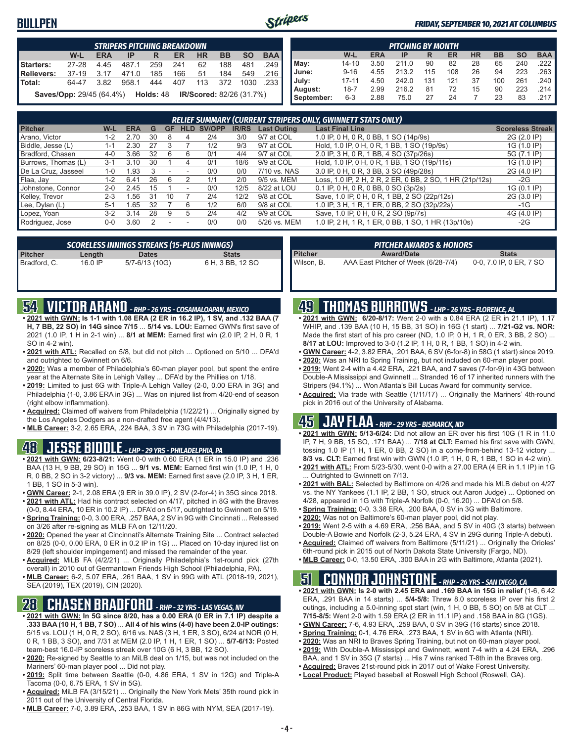### **BULLPEN**



#### *FRIDAY, SEPTEMBER 10, 2021 AT COLUMBUS*

| <b>STRIPERS PITCHING BREAKDOWN</b> |                                                                          |            |       |     |     |           |           |           |            |  |  |
|------------------------------------|--------------------------------------------------------------------------|------------|-------|-----|-----|-----------|-----------|-----------|------------|--|--|
|                                    | W-L                                                                      | <b>ERA</b> | IP    | R   | ER  | <b>HR</b> | <b>BB</b> | <b>SO</b> | <b>BAA</b> |  |  |
| Starters:                          | $27 - 28$                                                                | 4.45       | 487.1 | 259 | 241 | 62        | 188       | 481       | .249       |  |  |
| Relievers:                         | $37-19$                                                                  | 3.17       | 471.0 | 185 | 166 | 51        | 184       | 549       | .216       |  |  |
| <b>Total:</b>                      | 64-47                                                                    | 3.82       | 958.1 | 444 | 407 | 113       | 372       | 1030      | .233       |  |  |
|                                    | <b>Saves/Opp: 29/45 (64.4%)</b><br>IR/Scored: 82/26 (31.7%)<br>Holds: 48 |            |       |     |     |           |           |           |            |  |  |

| <b>PITCHING BY MONTH</b> |           |            |       |     |     |           |           |           |            |  |
|--------------------------|-----------|------------|-------|-----|-----|-----------|-----------|-----------|------------|--|
|                          | W-L       | <b>ERA</b> | IP    | R   | ER  | <b>HR</b> | <b>BB</b> | <b>SO</b> | <b>BAA</b> |  |
| May:                     | $14 - 10$ | 3.50       | 211.0 | 90  | 82  | 28        | 65        | 240       | .222       |  |
| June:                    | $9 - 16$  | 4.55       | 213.2 | 115 | 108 | 26        | 94        | 223       | .263       |  |
| July:                    | $17 - 11$ | 4.50       | 242.0 | 131 | 121 | 37        | 100       | 261       | .240       |  |
| August:                  | $18 - 7$  | 2.99       | 216.2 | 81  | 72  | 15        | 90        | 223       | .214       |  |
| September:               | $6 - 3$   | 2.88       | 75.0  | 27  | 24  | 7         | 23        | 83        |            |  |

|                     | <b>RELIEF SUMMARY (CURRENT STRIPERS ONLY, GWINNETT STATS ONLY)</b> |               |    |    |            |        |              |                    |                                                          |                         |  |  |
|---------------------|--------------------------------------------------------------------|---------------|----|----|------------|--------|--------------|--------------------|----------------------------------------------------------|-------------------------|--|--|
| <b>Pitcher</b>      | W-L                                                                | <b>ERA</b>    | G  | GF | <b>HLD</b> | SV/OPP | <b>IR/RS</b> | <b>Last Outing</b> | <b>Last Final Line</b>                                   | <b>Scoreless Streak</b> |  |  |
| Arano, Victor       | $1 - 2$                                                            | 2.70          | 30 | 8  | 4          | 2/4    | 3/0          | 9/7 at COL         | 1.0 IP, 0 H, 0 R, 0 BB, 1 SO (14p/9s)                    | 2G (2.0 IP)             |  |  |
| Biddle, Jesse (L)   | $1 - 1$                                                            | 2.30          | 27 |    |            | 1/2    | 9/3          | 9/7 at COL         | Hold, 1.0 IP, 0 H, 0 R, 1 BB, 1 SO (19p/9s)              | 1G (1.0 IP)             |  |  |
| Bradford, Chasen    | $4 - 0$                                                            | 3.66          | 32 | 6  | 6          | 0/1    | 4/4          | 9/7 at COL         | 2.0 IP, 3 H, 0 R, 1 BB, 4 SO (37p/26s)                   | 5G (7.1 IP)             |  |  |
| Burrows. Thomas (L) | $3 - 1$                                                            | 3.10          | 30 |    | 4          | 0/1    | 18/6         | 9/9 at COL         | Hold, 1.0 IP, 0 H, 0 R, 1 BB, 1 SO (19p/11s)             | 1G (1.0 IP)             |  |  |
| De La Cruz, Jasseel | $1 - 0$                                                            | l.93          |    |    | -          | 0/0    | 0/0          | 7/10 vs. NAS       | 3.0 IP, 0 H, 0 R, 3 BB, 3 SO (49p/28s)                   | 2G (4.0 IP)             |  |  |
| Flaa, Jay           | $1 - 2$                                                            | $6.4^{\circ}$ | 26 | 6  |            | 1/1    | 2/0          | 9/5 vs. MEM        | Loss, 1.0 IP, 2 H, 2 R, 2 ER, 0 BB, 2 SO, 1 HR (21p/12s) | $-2G$                   |  |  |
| Johnstone, Connor   | $2 - 0$                                                            | 2.45          | 15 |    |            | 0/0    | 12/5         | 8/22 at LOU        | 0.1 IP, 0 H, 0 R, 0 BB, 0 SO (3p/2s)                     | 1G (0.1 IP)             |  |  |
| Kelley, Trevor      | $2 - 3$                                                            | .56           | 31 | 10 |            | 2/4    | 12/2         | 9/8 at COL         | Save, 1.0 IP, 0 H, 0 R, 1 BB, 2 SO (22p/12s)             | 2G (3.0 IP)             |  |  |
| Lee, Dylan (L)      | $5-1$                                                              | .65           | 32 |    | 6          | 1/2    | 6/0          | 9/8 at COL         | 1.0 IP, 3 H, 1 R, 1 ER, 0 BB, 2 SO (32p/22s)             | $-1G$                   |  |  |
| Lopez, Yoan         | $3-2$                                                              | 3.14          | 28 | 9  | 5          | 2/4    | 4/2          | 9/9 at COL         | Save, 1.0 IP, 0 H, 0 R, 2 SO (9p/7s)                     | 4G (4.0 IP)             |  |  |
| Rodriguez, Jose     | 0-0                                                                | 3.60          |    |    |            | 0/0    | 0/0          | 5/26 vs. MEM       | 1.0 IP, 2 H, 1 R, 1 ER, 0 BB, 1 SO, 1 HR (13p/10s)       | $-2G$                   |  |  |

| SCORELESS INNINGS STREAKS (15-PLUS INNINGS) |         |                |                  |  |  |  |  |  |  |  |
|---------------------------------------------|---------|----------------|------------------|--|--|--|--|--|--|--|
| Pitcher                                     | Length  | <b>Dates</b>   | <b>Stats</b>     |  |  |  |  |  |  |  |
| Bradford, C.                                | 16.0 IP | 5/7-6/13 (10G) | 6 H, 3 BB, 12 SO |  |  |  |  |  |  |  |

|            | <b>PITCHER AWARDS &amp; HONORS</b>  |                         |
|------------|-------------------------------------|-------------------------|
| Pitcher    | <b>Award/Date</b>                   | <b>Stats</b>            |
| Wilson, B. | AAA East Pitcher of Week (6/28-7/4) | 0-0, 7.0 IP, 0 ER, 7 SO |

### **54 VICTOR ARANO** *- RHP - 26 YRS - COSAMALOAPAN, MEXICO*

- **• 2021 with GWN: Is 1-1 with 1.08 ERA (2 ER in 16.2 IP), 1 SV, and .132 BAA (7 H, 7 BB, 22 SO) in 14G since 7/15** ... **5/14 vs. LOU:** Earned GWN's first save of 2021 (1.0 IP, 1 H in 2-1 win) ... **8/1 at MEM:** Earned first win (2.0 IP, 2 H, 0 R, 1 SO in 4-2 win).
- **• 2021 with ATL:** Recalled on 5/8, but did not pitch ... Optioned on 5/10 ... DFA'd and outrighted to Gwinnett on 6/6.
- **• 2020:** Was a member of Philadelphia's 60-man player pool, but spent the entire year at the Alternate Site in Lehigh Valley ... DFA'd by the Phillies on 1/18.
- **• 2019:** Limited to just 6G with Triple-A Lehigh Valley (2-0, 0.00 ERA in 3G) and Philadelphia (1-0, 3.86 ERA in 3G) ... Was on injured list from 4/20-end of season (right elbow inflammation).
- **• Acquired:** Claimed off waivers from Philadelphia (1/22/21) ... Originally signed by the Los Angeles Dodgers as a non-drafted free agent (4/4/13).
- **• MLB Career:** 3-2, 2.65 ERA, .224 BAA, 3 SV in 73G with Philadelphia (2017-19).

### **48 JESSE BIDDLE** *- LHP - 29 YRS - PHILADELPHIA, PA*

- **• 2021 with GWN: 6/23-8/21:** Went 0-0 with 0.60 ERA (1 ER in 15.0 IP) and .236 BAA (13 H, 9 BB, 29 SO) in 15G ... **9/1 vs. MEM:** Earned first win (1.0 IP, 1 H, 0 R, 0 BB, 2 SO in 3-2 victory) ... **9/3 vs. MEM:** Earned first save (2.0 IP, 3 H, 1 ER, 1 BB, 1 SO in 5-3 win).
- **• GWN Career:** 2-1, 2.08 ERA (9 ER in 39.0 IP), 2 SV (2-for-4) in 35G since 2018. **• 2021 with ATL:** Had his contract selected on 4/17, pitched in 8G with the Braves
- (0-0, 8.44 ERA, 10 ER in 10.2 IP) ... DFA'd on 5/17, outrighted to Gwinnett on 5/19. **• Spring Training:** 0-0, 3.00 ERA, .257 BAA, 2 SV in 9G with Cincinnati ... Released on 3/26 after re-signing as MiLB FA on 12/11/20.
- **• 2020:** Opened the year at Cincinnati's Alternate Training Site ... Contract selected on 8/25 (0-0, 0.00 ERA, 0 ER in 0.2 IP in 1G) ... Placed on 10-day injured list on 8/29 (left shoulder impingement) and missed the remainder of the year.
- **• Acquired:** MiLB FA (4/2/21) ... Originally Philadelphia's 1st-round pick (27th overall) in 2010 out of Germantown Friends High School (Philadelphia, PA).
- **• MLB Career:** 6-2, 5.07 ERA, .261 BAA, 1 SV in 99G with ATL (2018-19, 2021), SEA (2019), TEX (2019), CIN (2020).

### **28 CHASEN BRADFORD** *- RHP - 32 YRS - LAS VEGAS, NV*

- **• 2021 with GWN: In 5G since 8/20, has a 0.00 ERA (0 ER in 7.1 IP) despite a .333 BAA (10 H, 1 BB, 7 SO)** ... **All 4 of his wins (4-0) have been 2.0-IP outings:** 5/15 vs. LOU (1 H, 0 R, 2 SO), 6/16 vs. NAS (3 H, 1 ER, 3 SO), 6/24 at NOR (0 H, 0 R, 1 BB, 3 SO), and 7/31 at MEM (2.0 IP, 1 H, 1 ER, 1 SO) ... **5/7-6/13:** Posted team-best 16.0-IP scoreless streak over 10G (6 H, 3 BB, 12 SO).
- **• 2020:** Re-signed by Seattle to an MiLB deal on 1/15, but was not included on the Mariners' 60-man player pool ... Did not play.
- **• 2019:** Split time between Seattle (0-0, 4.86 ERA, 1 SV in 12G) and Triple-A Tacoma (0-0, 6.75 ERA, 1 SV in 5G).
- **• Acquired:** MiLB FA (3/15/21) ... Originally the New York Mets' 35th round pick in 2011 out of the University of Central Florida.
- **• MLB Career:** 7-0, 3.89 ERA, .253 BAA, 1 SV in 86G with NYM, SEA (2017-19).

## **49 THOMAS BURROWS** *- LHP - 26 YRS - FLORENCE, AL*

- **• 2021 with GWN: 6/20-8/17:** Went 2-0 with a 0.84 ERA (2 ER in 21.1 IP), 1.17 WHIP, and .139 BAA (10 H, 15 BB, 31 SO) in 16G (1 start) ... **7/21-G2 vs. NOR:** Made the first start of his pro career (ND, 1.0 IP, 0 H, 1 R, 0 ER, 3 BB, 2 SO) ... **8/17 at LOU:** Improved to 3-0 (1.2 IP, 1 H, 0 R, 1 BB, 1 SO) in 4-2 win.
- **• GWN Career:** 4-2, 3.82 ERA, .201 BAA, 6 SV (6-for-8) in 58G (1 start) since 2019.
- **• 2020:** Was an NRI to Spring Training, but not included on 60-man player pool.
- **• 2019:** Went 2-4 with a 4.42 ERA, .221 BAA, and 7 saves (7-for-9) in 43G between Double-A Mississippi and Gwinnett ... Stranded 16 of 17 inherited runners with the Stripers (94.1%) ... Won Atlanta's Bill Lucas Award for community service.
- **• Acquired:** Via trade with Seattle (1/11/17) ... Originally the Mariners' 4th-round pick in 2016 out of the University of Alabama.

## **45 JAY FLAA** *- RHP - 29 YRS - BISMARCK, ND*

- **• 2021 with GWN: 5/13-6/24:** Did not allow an ER over his first 10G (1 R in 11.0 IP, 7 H, 9 BB, 15 SO, .171 BAA) ... **7/18 at CLT:** Earned his first save with GWN, tossing 1.0 IP (1 H, 1 ER, 0 BB, 2 SO) in a come-from-behind 13-12 victory ... **8/3 vs. CLT:** Earned first win with GWN (1.0 IP, 1 H, 0 R, 1 BB, 1 SO in 4-2 win).
- **• 2021 with ATL:** From 5/23-5/30, went 0-0 with a 27.00 ERA (4 ER in 1.1 IP) in 1G ... Outrighted to Gwinnett on 7/13.
- **• 2021 with BAL:** Selected by Baltimore on 4/26 and made his MLB debut on 4/27 vs. the NY Yankees (1.1 IP, 2 BB, 1 SO, struck out Aaron Judge) ... Optioned on 4/28, appeared in 1G with Triple-A Norfolk (0-0, 16.20) ... DFA'd on 5/8.
- **• Spring Training:** 0-0, 3.38 ERA, .200 BAA, 0 SV in 3G with Baltimore.
- **• 2020:** Was not on Baltimore's 60-man player pool, did not play.
- **• 2019:** Went 2-5 with a 4.69 ERA, .256 BAA, and 5 SV in 40G (3 starts) between Double-A Bowie and Norfolk (2-3, 5.24 ERA, 4 SV in 29G during Triple-A debut).
- **• Acquired:** Claimed off waivers from Baltimore (5/11/21) ... Originally the Orioles' 6th-round pick in 2015 out of North Dakota State University (Fargo, ND).
- **• MLB Career:** 0-0, 13.50 ERA, .300 BAA in 2G with Baltimore, Atlanta (2021).

### **51 CONNOR JOHNSTONE** *- RHP - 26 YRS - SAN DIEGO, CA*

- **• 2021 with GWN: Is 2-0 with 2.45 ERA and .169 BAA in 15G in relief** (1-6, 6.42 ERA, .291 BAA in 14 starts) ... **5/4-5/8:** Threw 8.0 scoreless IP over his first 2 outings, including a 5.0-inning spot start (win, 1 H, 0 BB, 5 SO) on 5/8 at CLT ... **7/15-8/5:** Went 2-0 with 1.59 ERA (2 ER in 11.1 IP) and .158 BAA in 8G (1GS).
- **• GWN Career:** 7-6, 4.93 ERA, .259 BAA, 0 SV in 39G (16 starts) since 2018.
- **• Spring Training:** 0-1, 4.76 ERA, .273 BAA, 1 SV in 6G with Atlanta (NRI).
- **• 2020:** Was an NRI to Braves Spring Training, but not on 60-man player pool.
- **• 2019:** With Double-A Mississippi and Gwinnett, went 7-4 with a 4.24 ERA, .296
	- BAA, and 1 SV in 35G (7 starts) ... His 7 wins ranked T-8th in the Braves org.
- **• Acquired:** Braves 21st-round pick in 2017 out of Wake Forest University.
- **• Local Product:** Played baseball at Roswell High School (Roswell, GA).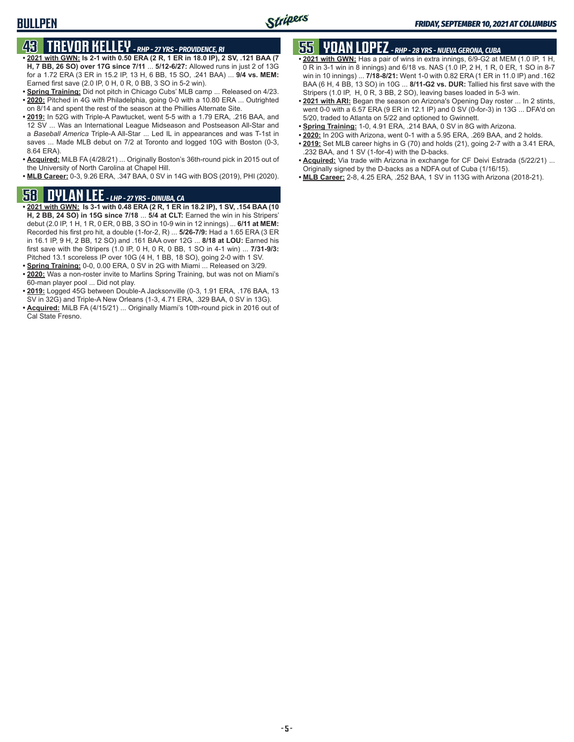### **BULLPEN**

# **43 TREVOR KELLEY** *- RHP - 27 YRS - PROVIDENCE, RI*

- **• 2021 with GWN: Is 2-1 with 0.50 ERA (2 R, 1 ER in 18.0 IP), 2 SV, .121 BAA (7 H, 7 BB, 26 SO) over 17G since 7/11** ... **5/12-6/27:** Allowed runs in just 2 of 13G for a 1.72 ERA (3 ER in 15.2 IP, 13 H, 6 BB, 15 SO, .241 BAA) ... **9/4 vs. MEM:** Earned first save (2.0 IP, 0 H, 0 R, 0 BB, 3 SO in 5-2 win).
- **• Spring Training:** Did not pitch in Chicago Cubs' MLB camp ... Released on 4/23. **• 2020:** Pitched in 4G with Philadelphia, going 0-0 with a 10.80 ERA ... Outrighted on 8/14 and spent the rest of the season at the Phillies Alternate Site.
- **• 2019:** In 52G with Triple-A Pawtucket, went 5-5 with a 1.79 ERA, .216 BAA, and 12 SV ... Was an International League Midseason and Postseason All-Star and a *Baseball America* Triple-A All-Star ... Led IL in appearances and was T-1st in saves ... Made MLB debut on 7/2 at Toronto and logged 10G with Boston (0-3, 8.64 ERA).
- **• Acquired:** MiLB FA (4/28/21) ... Originally Boston's 36th-round pick in 2015 out of the University of North Carolina at Chapel Hill.
- **• MLB Career:** 0-3, 9.26 ERA, .347 BAA, 0 SV in 14G with BOS (2019), PHI (2020).

### **58 DYLAN LEE** *- LHP - 27 YRS - DINUBA, CA*

- **• 2021 with GWN: Is 3-1 with 0.48 ERA (2 R, 1 ER in 18.2 IP), 1 SV, .154 BAA (10 H, 2 BB, 24 SO) in 15G since 7/18** ... **5/4 at CLT:** Earned the win in his Stripers' debut (2.0 IP, 1 H, 1 R, 0 ER, 0 BB, 3 SO in 10-9 win in 12 innings) ... **6/11 at MEM:** Recorded his first pro hit, a double (1-for-2, R) ... **5/26-7/9:** Had a 1.65 ERA (3 ER in 16.1 IP, 9 H, 2 BB, 12 SO) and .161 BAA over 12G ... **8/18 at LOU:** Earned his first save with the Stripers (1.0 IP, 0 H, 0 R, 0 BB, 1 SO in 4-1 win) ... **7/31-9/3:** Pitched 13.1 scoreless IP over 10G (4 H, 1 BB, 18 SO), going 2-0 with 1 SV.
- **• Spring Training:** 0-0, 0.00 ERA, 0 SV in 2G with Miami ... Released on 3/29.
- **• 2020:** Was a non-roster invite to Marlins Spring Training, but was not on Miami's 60-man player pool ... Did not play.
- **• 2019:** Logged 45G between Double-A Jacksonville (0-3, 1.91 ERA, .176 BAA, 13 SV in 32G) and Triple-A New Orleans (1-3, 4.71 ERA, .329 BAA, 0 SV in 13G).
- **• Acquired:** MiLB FA (4/15/21) ... Originally Miami's 10th-round pick in 2016 out of Cal State Fresno.

# **55 YOAN LOPEZ** *- RHP - 28 YRS - NUEVA GERONA, CUBA*

- **• 2021 with GWN:** Has a pair of wins in extra innings, 6/9-G2 at MEM (1.0 IP, 1 H, 0 R in 3-1 win in 8 innings) and 6/18 vs. NAS (1.0 IP, 2 H, 1 R, 0 ER, 1 SO in 8-7 win in 10 innings) ... **7/18-8/21:** Went 1-0 with 0.82 ERA (1 ER in 11.0 IP) and .162 BAA (6 H, 4 BB, 13 SO) in 10G ... **8/11-G2 vs. DUR:** Tallied his first save with the Stripers (1.0 IP, H, 0 R, 3 BB, 2 SO), leaving bases loaded in 5-3 win.
- **• 2021 with ARI:** Began the season on Arizona's Opening Day roster ... In 2 stints, went 0-0 with a 6.57 ERA (9 ER in 12.1 IP) and 0 SV (0-for-3) in 13G ... DFA'd on 5/20, traded to Atlanta on 5/22 and optioned to Gwinnett.
- **• Spring Training:** 1-0, 4.91 ERA, .214 BAA, 0 SV in 8G with Arizona.
- **• 2020:** In 20G with Arizona, went 0-1 with a 5.95 ERA, .269 BAA, and 2 holds.
- **• 2019:** Set MLB career highs in G (70) and holds (21), going 2-7 with a 3.41 ERA, .232 BAA, and 1 SV (1-for-4) with the D-backs.
- **• Acquired:** Via trade with Arizona in exchange for CF Deivi Estrada (5/22/21) ... Originally signed by the D-backs as a NDFA out of Cuba (1/16/15).
- **• MLB Career:** 2-8, 4.25 ERA, .252 BAA, 1 SV in 113G with Arizona (2018-21).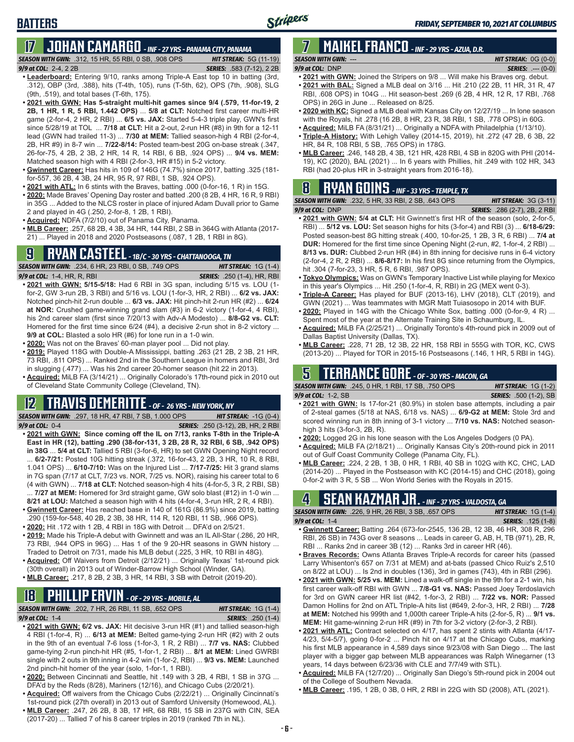## **17 JOHAN CAMARGO** *- INF - 27 YRS - PANAMA CITY, PANAMA*

*SEASON WITH GWN:*.312, 15 HR, 55 RBI, 0 SB, .908 OPS *HIT STREAK:* 5G (11-19)

#### *9/9 at COL:* 2-4, 2 2B *SERIES:* .583 (7-12), 2 2B

- **• Leaderboard:** Entering 9/10, ranks among Triple-A East top 10 in batting (3rd, .312), OBP (3rd, .388), hits (T-4th, 105), runs (T-5th, 62), OPS (7th, .908), SLG (9th, .519), and total bases (T-6th, 175).
- **• 2021 with GWN: Has 5-straight multi-hit games since 9/4 (.579, 11-for-19, 2 2B, 1 HR, 1 R, 5 RBI, 1.442 OPS)** ... **5/8 at CLT:** Notched first career multi-HR game (2-for-4, 2 HR, 2 RBI) ... **6/5 vs. JAX:** Started 5-4-3 triple play, GWN's first since 5/28/19 at TOL ... **7/18 at CLT:** Hit a 2-out, 2-run HR (#8) in 9th for a 12-11 lead (GWN had trailed 11-3) ... **7/30 at MEM:** Tallied season-high 4 RBI (2-for-4, 2B, HR #9) in 8-7 win ... **7/22-8/14:** Posted team-best 20G on-base streak (.347, 26-for-75, 4 2B, 2 3B, 2 HR, 14 R, 14 RBI, 6 BB, .924 OPS) ... **9/4 vs. MEM:** Matched season high with 4 RBI (2-for-3, HR #15) in 5-2 victory.
- **• Gwinnett Career:** Has hits in 109 of 146G (74.7%) since 2017, batting .325 (181 for-557, 36 2B, 4 3B, 24 HR, 95 R, 97 RBI, 1 SB, .924 OPS).
- **• 2021 with ATL:** In 6 stints with the Braves, batting .000 (0-for-16, 1 R) in 15G.
- **• 2020:** Made Braves' Opening Day roster and batted .200 (8 2B, 4 HR, 16 R, 9 RBI) in 35G ... Added to the NLCS roster in place of injured Adam Duvall prior to Game 2 and played in 4G (.250, 2-for-8, 1 2B, 1 RBI).
- **• Acquired:** NDFA (7/2/10) out of Panama City, Panama.
- **• MLB Career:** .257, 68 2B, 4 3B, 34 HR, 144 RBI, 2 SB in 364G with Atlanta (2017- 21) ... Played in 2018 and 2020 Postseasons (.087, 1 2B, 1 RBI in 8G).

## **9 RYAN CASTEEL** *- 1B/C - 30 YRS - CHATTANOOGA, TN*

*SEASON WITH GWN:*.234, 6 HR, 23 RBI, 0 SB, .749 OPS *HIT STREAK:* 1G (1-4) *9/9 at COL:*1-4, HR, R, RBI *SERIES:* .250 (1-4), HR, RBI

- **• 2021 with GWN: 5/15-5/18:** Had 6 RBI in 3G span, including 5/15 vs. LOU (1 for-2, GW 3-run 2B, 3 RBI) and 5/16 vs. LOU (1-for-3, HR, 2 RBI) ... **6/2 vs. JAX:** Notched pinch-hit 2-run double ... **6/3 vs. JAX:** Hit pinch-hit 2-run HR (#2) ... **6/24 at NOR:** Crushed game-winning grand slam (#3) in 6-2 victory (1-for-4, 4 RBI), his 2nd career slam (first since 7/20/13 with Adv-A Modesto) ... **8/8-G2 vs. CLT:** Homered for the first time since 6/24 (#4), a decisive 2-run shot in 8-2 victory ... **9/9 at COL:** Blasted a solo HR (#6) for lone run in a 1-0 win.
- **• 2020:** Was not on the Braves' 60-man player pool ... Did not play.
- **• 2019:** Played 118G with Double-A Mississippi, batting .263 (21 2B, 2 3B, 21 HR, 73 RBI, .811 OPS) ... Ranked 2nd in the Southern League in homers and RBI, 3rd in slugging (.477) ... Was his 2nd career 20-homer season (hit 22 in 2013).
- **• Acquired:** MiLB FA (3/14/21) ... Originally Colorado's 17th-round pick in 2010 out of Cleveland State Community College (Cleveland, TN).

#### **12 TRAVIS DEMERITTE** *- OF - 26 YRS - NEW YORK, NY*

*SEASON WITH GWN:*.297, 18 HR, 47 RBI, 7 SB, 1.000 OPS *HIT STREAK:* -1G (0-4) *9/9 at COL:*0-4 *SERIES:* .250 (3-12), 2B, HR, 2 RBI

- **• 2021 with GWN: Since coming off the IL on 7/13, ranks T-8th in the Triple-A East in HR (12), batting .290 (38-for-131, 3 2B, 28 R, 32 RBI, 6 SB, .942 OPS) in 38G** ... **5/4 at CLT:** Tallied 5 RBI (3-for-6, HR) to set GWN Opening Night record ... **6/2-7/21:** Posted 10G hitting streak (.372, 16-for-43, 2 2B, 3 HR, 10 R, 8 RBI, 1.041 OPS) ... **6/10-7/10:** Was on the Injured List ... **7/17-7/25:** Hit 3 grand slams in 7G span (7/17 at CLT, 7/23 vs. NOR, 7/25 vs. NOR), raising his career total to 6
- (4 with GWN) ... **7/18 at CLT:** Notched season-high 4 hits (4-for-5, 3 R, 2 RBI, SB) ... **7/27 at MEM:** Homered for 3rd straight game, GW solo blast (#12) in 1-0 win ... **8/21 at LOU:** Matched a season high with 4 hits (4-for-4, 3-run HR, 2 R, 4 RBI).
- **• Gwinnett Career:** Has reached base in 140 of 161G (86.9%) since 2019, batting .290 (159-for-548, 40 2B, 2 3B, 38 HR, 114 R, 120 RBI, 11 SB, .966 OPS).
- **• 2020:** Hit .172 with 1 2B, 4 RBI in 18G with Detroit ... DFA'd on 2/5/21.
- **• 2019:** Made his Triple-A debut with Gwinnett and was an IL All-Star (.286, 20 HR, 73 RBI, .944 OPS in 96G) ... Has 1 of the 9 20-HR seasons in GWN history ... Traded to Detroit on 7/31, made his MLB debut (.225, 3 HR, 10 RBI in 48G).
- **• Acquired:** Off Waivers from Detroit (2/12/21) ... Originally Texas' 1st-round pick (30th overall) in 2013 out of Winder-Barrow High School (Winder, GA).
- **• MLB Career:** .217, 8 2B, 2 3B, 3 HR, 14 RBI, 3 SB with Detroit (2019-20).

### **18 PHILLIP ERVIN** *- OF - 29 YRS - MOBILE, AL*

*SEASON WITH GWN:*.202, 7 HR, 26 RBI, 11 SB, .652 OPS *HIT STREAK:* 1G (1-4)

*9/9 at COL:*1-4 *SERIES:* .250 (1-4)

- **• 2021 with GWN: 6/2 vs. JAX:** Hit decisive 3-run HR (#1) and tallied season-high 4 RBI (1-for-4, R) ... **6/13 at MEM:** Belted game-tying 2-run HR (#2) with 2 outs in the 9th of an eventual 7-6 loss (1-for-3, 1 R, 2 RBI) ... **7/7 vs. NAS:** Clubbed game-tying 2-run pinch-hit HR (#5, 1-for-1, 2 RBI) ... **8/1 at MEM:** Lined GWRBI single with 2 outs in 9th inning in 4-2 win (1-for-2, RBI) ... **9/3 vs. MEM:** Launched 2nd pinch-hit homer of the year (solo, 1-for-1, 1 RBI).
- **• 2020:** Between Cincinnati and Seattle, hit .149 with 3 2B, 4 RBI, 1 SB in 37G ... DFA'd by the Reds (8/28), Mariners (12/16), and Chicago Cubs (2/20/21).
- **• Acquired:** Off waivers from the Chicago Cubs (2/22/21) ... Originally Cincinnati's 1st-round pick (27th overall) in 2013 out of Samford University (Homewood, AL).
- **• MLB Career:** .247, 26 2B, 8 3B, 17 HR, 68 RBI, 15 SB in 237G with CIN, SEA (2017-20) ... Tallied 7 of his 8 career triples in 2019 (ranked 7th in NL).

#### **7 MAIKEL FRANCO** *- INF - 29 YRS - AZUA, D.R. SEASON WITH GWN:*--- *HIT STREAK:* 0G (0-0)

- *9/9 at COL:*DNP *SERIES:* .--- (0-0) **• 2021 with GWN:** Joined the Stripers on 9/8 ... Will make his Braves org. debut.
- **• 2021 with BAL:** Signed a MLB deal on 3/16 ... Hit .210 (22 2B, 11 HR, 31 R, 47 RBI, .608 OPS) in 104G ... Hit season-best .269 (6 2B, 4 HR, 12 R, 17 RBI, .768 OPS) in 26G in June ... Released on 8/25.
- **• 2020 with KC:** Signed a MLB deal with Kansas City on 12/27/19 ... In lone season with the Royals, hit .278 (16 2B, 8 HR, 23 R, 38 RBI, 1 SB, .778 OPS) in 60G.
- **• Acquired:** MiLB FA (8/31/21) ... Originally a NDFA with Philadelphia (1/13/10).
- **• Triple-A History:** With Lehigh Valley (2014-15, 2019), hit .272 (47 2B, 6 3B, 22 HR, 84 R, 108 RBI, 5 SB, .765 OPS) in 178G.
- **• MLB Career:** .246, 148 2B, 4 3B, 121 HR, 428 RBI, 4 SB in 820G with PHI (2014- 19), KC (2020), BAL (2021) ... In 6 years with Phillies, hit .249 with 102 HR, 343 RBI (had 20-plus HR in 3-straight years from 2016-18).

## **8 RYAN GOINS** *- INF - 33 YRS - TEMPLE, TX*

| <b>SEASON WITH GWN:</b> .232. 5 HR. 33 RBI. 2 SB. .643 OPS . | <b>HIT STREAK:</b> $3G(3-11)$        |
|--------------------------------------------------------------|--------------------------------------|
| 9/9 at COL: DNP                                              | <b>SERIES:</b> .286 (2-7), 2B, 2 RBI |
| $\cdots$ $\cdots$ $\cdots$ $\cdots$                          |                                      |

- **• 2021 with GWN: 5/4 at CLT:** Hit Gwinnett's first HR of the season (solo, 2-for-5, RBI) ... **5/12 vs. LOU:** Set season highs for hits (3-for-4) and RBI (3) ... **6/18-6/29:** Posted season-best 8G hitting streak (.400, 10-for-25, 1 2B, 3 R, 6 RBI) ... **7/4 at DUR:** Homered for the first time since Opening Night (2-run, #2, 1-for-4, 2 RBI) ... **8/13 vs. DUR:** Clubbed 2-run HR (#4) in 8th inning for decisive runs in 6-4 victory (2-for-4, 2 R, 2 RBI) ... **8/6-8/17:** In his first 8G since returning from the Olympics, hit .304 (7-for-23, 3 HR, 5 R, 6 RBI, .987 OPS).
- **• Tokyo Olympics:** Was on GWN's Temporary Inactive List while playing for Mexico in this year's Olympics ... Hit .250 (1-for-4, R, RBI) in 2G (MEX went 0-3).
- **• Triple-A Career:** Has played for BUF (2013-16), LHV (2018), CLT (2019), and GWN (2021) ... Was teammates with MGR Matt Tuiasosopo in 2014 with BUF.
- **• 2020:** Played in 14G with the Chicago White Sox, batting .000 (0-for-9, 4 R) ... Spent most of the year at the Alternate Training Site in Schaumburg, IL.
- **• Acquired:** MiLB FA (2/25/21) ... Originally Toronto's 4th-round pick in 2009 out of Dallas Baptist University (Dallas, TX).
- **• MLB Career:** .228, 71 2B, 12 3B, 22 HR, 158 RBI in 555G with TOR, KC, CWS (2013-20) ... Played for TOR in 2015-16 Postseasons (.146, 1 HR, 5 RBI in 14G).

### **5 TERRANCE GORE** *- OF - 30 YRS - MACON, GA*

*SEASON WITH GWN:*.245, 0 HR, 1 RBI, 17 SB, .750 OPS *HIT STREAK:* 1G (1-2) *9/9 at COL:*1-2, SB *SERIES:* .500 (1-2), SB

- **• 2021 with GWN:** Is 17-for-21 (80.9%) in stolen base attempts, including a pair of 2-steal games (5/18 at NAS, 6/18 vs. NAS) ... **6/9-G2 at MEM:** Stole 3rd and scored winning run in 8th inning of 3-1 victory ... **7/10 vs. NAS:** Notched seasonhigh 3 hits (3-for-3, 2B, R).
- **• 2020:** Logged 2G in his lone season with the Los Angeles Dodgers (0 PA).
- **• Acquired:** MiLB FA (2/18/21) ... Originally Kansas City's 20th-round pick in 2011 out of Gulf Coast Community College (Panama City, FL).
- **• MLB Career:** .224, 2 2B, 1 3B, 0 HR, 1 RBI, 40 SB in 102G with KC, CHC, LAD (2014-20) ... Played in the Postseason with KC (2014-15) and CHC (2018), going 0-for-2 with 3 R, 5 SB ... Won World Series with the Royals in 2015.

### $\textbf{H}$   $\textbf{J}$   $\textbf{H}_*$  - inf - 37 yrs - valdosta, ga

| <b>SEASON WITH GWN: .226, 9 HR, 26 RBI, 3 SB, .657 OPS</b>                |  | <b>HIT STREAK:</b> $1G(1-4)$ |  |
|---------------------------------------------------------------------------|--|------------------------------|--|
| 9/9 at COL: $1-4$                                                         |  | <b>SERIES:</b> .125 (1-8)    |  |
| • Gwinnett Career: Ratting 264 (673-for-2545 136.2R 12.3R 46 HR 308 R 296 |  |                              |  |

- **• Gwinnett Career:** Batting .264 (673-for-2545, 136 2B, 12 3B, 46 HR, 308 R, 296 RBI, 26 SB) in 743G over 8 seasons ... Leads in career G, AB, H, TB (971), 2B, R, RBI ... Ranks 2nd in career 3B (12) ... Ranks 3rd in career HR (46).
- **• Braves Records:** Owns Atlanta Braves Triple-A records for career hits (passed Larry Whisenton's 657 on 7/31 at MEM) and at-bats (passed Chico Ruiz's 2,510 on 8/22 at LOU) ... Is 2nd in doubles (136), 3rd in games (743), 4th in RBI (296).
- **• 2021 with GWN: 5/25 vs. MEM:** Lined a walk-off single in the 9th for a 2-1 win, his first career walk-off RBI with GWN ... **7/8-G1 vs. NAS:** Passed Joey Terdoslavich for 3rd on GWN career HR list (#42, 1-for-3, 2 RBI) ... **7/22 vs. NOR:** Passed Damon Hollins for 2nd on ATL Triple-A hits list (#649, 2-for-3, HR, 2 RBI) ... **7/28 at MEM:** Notched his 999th and 1,000th career Triple-A hits (2-for-5, R) ... **9/1 vs. MEM:** Hit game-winning 2-run HR (#9) in 7th for 3-2 victory (2-for-3, 2 RBI).
- **• 2021 with ATL:** Contract selected on 4/17, has spent 2 stints with Atlanta (4/17- 4/23, 5/4-5/7), going 0-for-2 ... Pinch hit on 4/17 at the Chicago Cubs, marking his first MLB appearance in 4,589 days since 9/23/08 with San Diego ... The last player with a bigger gap between MLB appearances was Ralph Winegarner (13 years, 14 days between 6/23/36 with CLE and 7/7/49 with STL).
- **• Acquired:** MiLB FA (12/7/20) ... Originally San Diego's 5th-round pick in 2004 out of the College of Southern Nevada.
- **• MLB Career:** .195, 1 2B, 0 3B, 0 HR, 2 RBI in 22G with SD (2008), ATL (2021).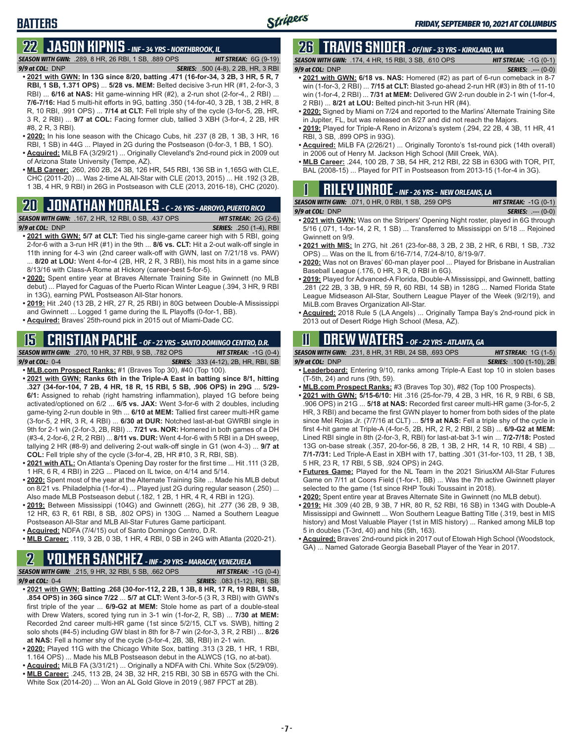# **22 JASON KIPNIS** *- INF - 34 YRS - NORTHBROOK, IL*

*SEASON WITH GWN:*.289, 8 HR, 26 RBI, 1 SB, .889 OPS *HIT STREAK:* 6G (9-19) *9/9 at COL:*DNP *SERIES:* .500 (4-8), 2 2B, HR, 3 RBI

- **• 2021 with GWN: In 13G since 8/20, batting .471 (16-for-34, 3 2B, 3 HR, 5 R, 7 RBI, 1 SB, 1.371 OPS)** ... **5/28 vs. MEM:** Belted decisive 3-run HR (#1, 2-for-3, 3 RBI) ... **6/16 at NAS:** Hit game-winning HR (#2), a 2-run shot (2-for-4,, 2 RBI) ... **7/6-7/16:** Had 5 multi-hit efforts in 9G, batting .350 (14-for-40, 3 2B, 1 3B, 2 HR, 8 R, 10 RBI, .991 OPS) ... **7/14 at CLT:** Fell triple shy of the cycle (3-for-5, 2B, HR, 3 R, 2 RBI) ... **9/7 at COL:** Facing former club, tallied 3 XBH (3-for-4, 2 2B, HR #8, 2 R, 3 RBI).
- **• 2020:** In his lone season with the Chicago Cubs, hit .237 (8 2B, 1 3B, 3 HR, 16 RBI, 1 SB) in 44G ... Played in 2G during the Postseason (0-for-3, 1 BB, 1 SO).
- **• Acquired:** MiLB FA (3/29/21) ... Originally Cleveland's 2nd-round pick in 2009 out of Arizona State University (Tempe, AZ).
- **• MLB Career:** .260, 260 2B, 24 3B, 126 HR, 545 RBI, 136 SB in 1,165G with CLE, CHC (2011-20) ... Was 2-time AL All-Star with CLE (2013, 2015) ... Hit .192 (3 2B, 1 3B, 4 HR, 9 RBI) in 26G in Postseason with CLE (2013, 2016-18), CHC (2020).

# **20 JONATHAN MORALES** *- C - 26 YRS - ARROYO, PUERTO RICO*

*SEASON WITH GWN:*.167, 2 HR, 12 RBI, 0 SB, .437 OPS *HIT STREAK:* 2G (2-6) *9/9 at COL:*DNP *SERIES:* .250 (1-4), RBI

- **• 2021 with GWN: 5/7 at CLT:** Tied his single-game career high with 5 RBI, going 2-for-6 with a 3-run HR (#1) in the 9th ... **8/6 vs. CLT:** Hit a 2-out walk-off single in 11th inning for 4-3 win (2nd career walk-off with GWN, last on 7/21/18 vs. PAW) 8/20 at LOU: Went 4-for-4 (2B, HR, 2 R, 3 RBI), his most hits in a game since 8/13/16 with Class-A Rome at Hickory (career-best 5-for-5).
- **• 2020:** Spent entire year at Braves Alternate Training Site in Gwinnett (no MLB debut) ... Played for Caguas of the Puerto Rican Winter League (.394, 3 HR, 9 RBI in 13G), earning PWL Postseason All-Star honors.
- **• 2019:** Hit .240 (13 2B, 2 HR, 27 R, 25 RBI) in 80G between Double-A Mississippi and Gwinnett ... Logged 1 game during the IL Playoffs (0-for-1, BB).
- **• Acquired:** Braves' 25th-round pick in 2015 out of Miami-Dade CC.

#### **15 CRISTIAN PACHE** *- OF - 22 YRS - SANTO DOMINGO CENTRO, D.R. SEASON WITH GWN:*.270, 10 HR, 37 RBI, 9 SB, .782 OPS *HIT STREAK:* -1G (0-4)

- *9/9 at COL:* 0-4 *SERIES:* .333 (4-12), 2B, HR, RBI, SB **• MLB.com Prospect Ranks:** #1 (Braves Top 30), #40 (Top 100).
- **• 2021 with GWN: Ranks 6th in the Triple-A East in batting since 8/1, hitting .327 (34-for-104, 7 2B, 4 HR, 18 R, 15 RBI, 5 SB, .906 OPS) in 29G** ... **5/29- 6/1:** Assigned to rehab (right hamstring inflammation), played 1G before being activated/optioned on 6/2 ... **6/5 vs. JAX:** Went 3-for-6 with 2 doubles, including game-tying 2-run double in 9th ... **6/10 at MEM:** Tallied first career multi-HR game (3-for-5, 2 HR, 3 R, 4 RBI) ... **6/30 at DUR:** Notched last-at-bat GWRBI single in 9th for 2-1 win (2-for-3, 2B, RBI) ... **7/21 vs. NOR:** Homered in both games of a DH (#3-4, 2-for-6, 2 R, 2 RBI) ... **8/11 vs. DUR:** Went 4-for-6 with 5 RBI in a DH sweep, tallying 2 HR (#8-9) and delivering 2-out walk-off single in G1 (won 4-3) ... **9/7 at COL:** Fell triple shy of the cycle (3-for-4, 2B, HR #10, 3 R, RBI, SB).
- **• 2021 with ATL:** On Atlanta's Opening Day roster for the first time ... Hit .111 (3 2B, 1 HR, 6 R, 4 RBI) in 22G ... Placed on IL twice, on 4/14 and 5/14.
- **• 2020:** Spent most of the year at the Alternate Training Site ... Made his MLB debut on 8/21 vs. Philadelphia (1-for-4) ... Played just 2G during regular season (.250) ... Also made MLB Postseason debut (.182, 1 2B, 1 HR, 4 R, 4 RBI in 12G).
- **• 2019:** Between Mississippi (104G) and Gwinnett (26G), hit .277 (36 2B, 9 3B, 12 HR, 63 R, 61 RBI, 8 SB, .802 OPS) in 130G ... Named a Southern League Postseason All-Star and MLB All-Star Futures Game participant.
- **• Acquired:** NDFA (7/4/15) out of Santo Domingo Centro, D.R.
- **• MLB Career:** .119, 3 2B, 0 3B, 1 HR, 4 RBI, 0 SB in 24G with Atlanta (2020-21).

### **2 YOLMER SANCHEZ** *- INF - 29 YRS - MARACAY, VENEZUELA*

*SEASON WITH GWN:*.215, 9 HR, 32 RBI, 5 SB, .662 OPS *HIT STREAK:* -1G (0-4) *9/9 at COL:*0-4 *SERIES:* .083 (1-12), RBI, SB

- **• 2021 with GWN: Batting .268 (30-for-112, 2 2B, 1 3B, 8 HR, 17 R, 19 RBI, 1 SB, .854 OPS) in 36G since 7/22** ... **5/7 at CLT:** Went 3-for-5 (3 R, 3 RBI) with GWN's first triple of the year ... **6/9-G2 at MEM:** Stole home as part of a double-steal with Drew Waters, scored tying run in 3-1 win (1-for-2, R, SB) ... **7/30 at MEM:** Recorded 2nd career multi-HR game (1st since 5/2/15, CLT vs. SWB), hitting 2 solo shots (#4-5) including GW blast in 8th for 8-7 win (2-for-3, 3 R, 2 RBI) ... **8/26 at NAS:** Fell a homer shy of the cycle (3-for-4, 2B, 3B, RBI) in 2-1 win.
- **• 2020:** Played 11G with the Chicago White Sox, batting .313 (3 2B, 1 HR, 1 RBI, 1.164 OPS) ... Made his MLB Postseason debut in the ALWCS (1G, no at-bat).
- **• Acquired:** MiLB FA (3/31/21) ... Originally a NDFA with Chi. White Sox (5/29/09). **• MLB Career:** .245, 113 2B, 24 3B, 32 HR, 215 RBI, 30 SB in 657G with the Chi.
- White Sox (2014-20) ... Won an AL Gold Glove in 2019 (.987 FPCT at 2B).

# **26 TRAVIS SNIDER** *- OF/INF - 33 YRS - KIRKLAND, WA*

*SEASON WITH GWN:*.174, 4 HR, 15 RBI, 3 SB, .610 OPS *HIT STREAK:* -1G (0-1) *9/9 at COL:* DNP *SERIES:* .--- (0-0)

- **• 2021 with GWN: 6/18 vs. NAS:** Homered (#2) as part of 6-run comeback in 8-7 win (1-for-3, 2 RBI) ... **7/15 at CLT:** Blasted go-ahead 2-run HR (#3) in 8th of 11-10 win (1-for-4, 2 RBI) ... **7/31 at MEM:** Delivered GW 2-run double in 2-1 win (1-for-4, 2 RBI) ... **8/21 at LOU:** Belted pinch-hit 3-run HR (#4).
- **• 2020:** Signed by Miami on 7/24 and reported to the Marlins' Alternate Training Site in Jupiter, FL, but was released on 8/27 and did not reach the Majors.
- **• 2019:** Played for Triple-A Reno in Arizona's system (.294, 22 2B, 4 3B, 11 HR, 41 RBI, 3 SB, .899 OPS in 93G).
- **• Acquired:** MiLB FA (2/26/21) ... Originally Toronto's 1st-round pick (14th overall) in 2006 out of Henry M. Jackson High School (Mill Creek, WA).
- **• MLB Career:** .244, 100 2B, 7 3B, 54 HR, 212 RBI, 22 SB in 630G with TOR, PIT, BAL (2008-15) ... Played for PIT in Postseason from 2013-15 (1-for-4 in 3G).

| $\mathbf{I}$ |                                                           |  |  | <b>RILEY UNROE</b> - INF - 26 YRS - NEW ORLEANS, LA |                    |
|--------------|-----------------------------------------------------------|--|--|-----------------------------------------------------|--------------------|
|              | <b>CON WITH CWM.</b> $074$ $0.11D$ $0.0D1$ $4.0D$ $0.000$ |  |  |                                                     | <b>IUT CTDFAV.</b> |

| <b>SEASON WITH GWN: .071, 0 HR, 0 RBI, 1 SB, .259 OPS</b> | <b>HIT STREAK:</b> $-1G(0-1)$ |
|-----------------------------------------------------------|-------------------------------|
| $9/9$ at COL: DNP                                         | <b>SERIES:</b> $--- (0-0)$    |
| $\cdots$                                                  |                               |

- **• 2021 with GWN:** Was on the Stripers' Opening Night roster, played in 6G through 5/16 (.071, 1-for-14, 2 R, 1 SB) ... Transferred to Mississippi on 5/18 ... Rejoined Gwinnett on 9/9.
- **• 2021 with MIS:** In 27G, hit .261 (23-for-88, 3 2B, 2 3B, 2 HR, 6 RBI, 1 SB, .732 OPS) ... Was on the IL from 6/16-7/14, 7/24-8/10, 8/19-9/7.
- **• 2020:** Was not on Braves' 60-man player pool ... Played for Brisbane in Australian Baseball League (.176, 0 HR, 3 R, 0 RBI in 6G).
- **• 2019:** Played for Advanced-A Florida, Double-A Mississippi, and Gwinnett, batting .281 (22 2B, 3 3B, 9 HR, 59 R, 60 RBI, 14 SB) in 128G ... Named Florida State League Midseason All-Star, Southern League Player of the Week (9/2/19), and MiLB.com Braves Organization All-Star.
- **• Acquired:** 2018 Rule 5 (LA Angels) ... Originally Tampa Bay's 2nd-round pick in 2013 out of Desert Ridge High School (Mesa, AZ).

### **11 Drew WATERS** *- OF - 22 YRS - ATLANTA, GA*

*SEASON WITH GWN:*.231, 8 HR, 31 RBI, 24 SB, .693 OPS *HIT STREAK:* 1G (1-5)

| 3LAJUN WIIII UWN. 201. U HIV. JI IVUI. ZT OD. 300 OF O                         | $101$ JINLAN, $10$ ( $10$ )    |
|--------------------------------------------------------------------------------|--------------------------------|
| 9/9 at COL: DNP                                                                | <b>SERIES:</b> .100 (1-10), 2B |
| . Leaderboard: Entering 9/10, ranks among Triple-A East top 10 in stolen bases |                                |

- **• Leaderboard:** Entering 9/10, ranks among Triple-A East top 10 in stolen bases (T-5th, 24) and runs (9th, 59).
- **• MLB.com Prospect Ranks:** #3 (Braves Top 30), #82 (Top 100 Prospects).
- **• 2021 with GWN: 5/15-6/10:** Hit .316 (25-for-79, 4 2B, 3 HR, 16 R, 9 RBI, 6 SB, .906 OPS) in 21G ... **5/18 at NAS:** Recorded first career multi-HR game (3-for-5, 2 HR, 3 RBI) and became the first GWN player to homer from both sides of the plate since Mel Rojas Jr. (7/7/16 at CLT) ... **5/19 at NAS:** Fell a triple shy of the cycle in first 4-hit game at Triple-A (4-for-5, 2B, HR, 2 R, 2 RBI, 2 SB) ... **6/9-G2 at MEM:** Lined RBI single in 8th (2-for-3, R, RBI) for last-at-bat 3-1 win ... **7/2-7/18:** Posted 13G on-base streak (.357, 20-for-56, 8 2B, 1 3B, 2 HR, 14 R, 10 RBI, 4 SB) ... **7/1-7/31:** Led Triple-A East in XBH with 17, batting .301 (31-for-103, 11 2B, 1 3B, 5 HR, 23 R, 17 RBI, 5 SB, .924 OPS) in 24G.
- **• Futures Game:** Played for the NL Team in the 2021 SiriusXM All-Star Futures Game on 7/11 at Coors Field (1-for-1, BB) ... Was the 7th active Gwinnett player selected to the game (1st since RHP Touki Toussaint in 2018).
- **• 2020:** Spent entire year at Braves Alternate Site in Gwinnett (no MLB debut).
- **• 2019:** Hit .309 (40 2B, 9 3B, 7 HR, 80 R, 52 RBI, 16 SB) in 134G with Double-A Mississippi and Gwinnett ... Won Southern League Batting Title (.319, best in MIS history) and Most Valuable Player (1st in MIS history) ... Ranked among MiLB top 5 in doubles (T-3rd, 40) and hits (5th, 163).
- **• Acquired:** Braves' 2nd-round pick in 2017 out of Etowah High School (Woodstock, GA) ... Named Gatorade Georgia Baseball Player of the Year in 2017.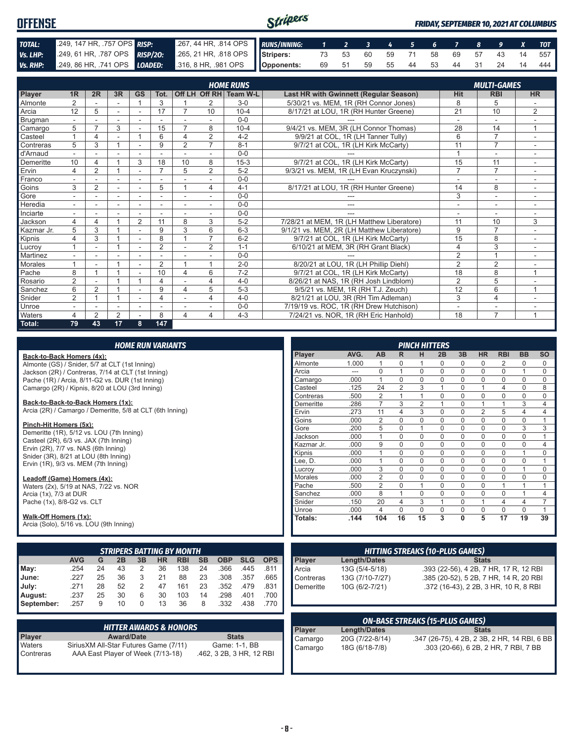| OFFENSE  |                            |                                                                                              | Stripers |  |  |  |  |                                   | <b>FRIDAY, SEPTEMBER 10, 2021 AT COLUMBUS</b> |
|----------|----------------------------|----------------------------------------------------------------------------------------------|----------|--|--|--|--|-----------------------------------|-----------------------------------------------|
| TOTAL:   | 249, 147 HR, 757 OPS RISP: | 267, 44 HR, 814 OPS RUNS/INNING: 1 2 3 4 5 6 7 8 9 X TOT                                     |          |  |  |  |  |                                   |                                               |
| Vs. LHP: |                            | 249, 61 HR, 787 OPS RISP/20: 265, 21 HR, 818 OPS Stripers: 73 53 60 59 71 58 69 57 43 14 557 |          |  |  |  |  |                                   |                                               |
|          |                            | Vs. RHP: 249, 86 HR, 741 OPS LOADED: 316, 8 HR, 981 OPS Opponents:                           |          |  |  |  |  | 69 51 59 55 44 53 44 31 24 14 444 |                                               |

|            |                |                |    |    |                |                         |                          | <b>HOME RUNS</b>       |                                               | <b>MULTI-GAMES</b> |                |                          |  |
|------------|----------------|----------------|----|----|----------------|-------------------------|--------------------------|------------------------|-----------------------------------------------|--------------------|----------------|--------------------------|--|
| Player     | 1 <sub>R</sub> | 2R             | 3R | GS | Tot.           |                         |                          | Off LH Off RH Team W-L | <b>Last HR with Gwinnett (Regular Season)</b> | Hit                | <b>RBI</b>     | <b>HR</b>                |  |
| Almonte    | $\overline{2}$ |                |    |    | 3              |                         | 2                        | $3-0$                  | 5/30/21 vs. MEM. 1R (RH Connor Jones)         | 8                  | 5              |                          |  |
| Arcia      | 12             | 5              |    |    | 17             | 7                       | 10                       | $10 - 4$               | 8/17/21 at LOU, 1R (RH Hunter Greene)         | 21                 | 10             | 2                        |  |
| Brugman    |                |                |    |    |                |                         |                          | $0 - 0$                |                                               |                    | ٠              |                          |  |
| Camargo    | 5              | $\overline{ }$ | 3  |    | 15             | $\overline{7}$          | 8                        | $10 - 4$               | 9/4/21 vs. MEM, 3R (LH Connor Thomas)         | 28                 | 14             | $\mathbf{1}$             |  |
| Casteel    |                | 4              |    |    | 6              | $\Delta$                | $\overline{2}$           | $4 - 2$                | 9/9/21 at COL, 1R (LH Tanner Tully)           | 6                  | $\overline{7}$ | ÷,                       |  |
| Contreras  | 5              | 3              |    |    | 9              | $\overline{2}$          | $\overline{7}$           | $8 - 1$                | 9/7/21 at COL, 1R (LH Kirk McCarty)           | 11                 | $\overline{7}$ |                          |  |
| d'Arnaud   |                |                |    |    |                |                         |                          | $0 - 0$                |                                               |                    | ٠              |                          |  |
| Demeritte  | 10             | 4              |    | 3  | 18             | 10                      | 8                        | $15-3$                 | 9/7/21 at COL, 1R (LH Kirk McCarty)           | 15                 | 11             |                          |  |
| Ervin      | 4              | $\overline{2}$ |    |    | $\overline{ }$ | 5                       | $\overline{2}$           | $5 - 2$                | 9/3/21 vs. MEM, 1R (LH Evan Kruczynski)       | $\overline{7}$     | $\overline{7}$ |                          |  |
| Franco     |                |                |    |    |                |                         |                          | $0 - 0$                |                                               |                    | ٠              |                          |  |
| Goins      | 3              | $\overline{2}$ |    |    | 5              |                         | 4                        | $4 - 1$                | 8/17/21 at LOU, 1R (RH Hunter Greene)         | 14                 | 8              |                          |  |
| Gore       |                |                |    |    |                |                         |                          | $0 - 0$                |                                               | 3                  | ۰              | $\overline{\phantom{a}}$ |  |
| Heredia    |                |                |    |    |                |                         | $\overline{\phantom{a}}$ | $0 - 0$                | ---                                           | ٠                  | ٠              |                          |  |
| Inciarte   |                |                |    |    |                |                         |                          | $0 - 0$                |                                               |                    |                |                          |  |
| Jackson    | 4              | 4              |    | 2  | 11             | 8                       | 3                        | $5 - 2$                | 7/28/21 at MEM, 1R (LH Matthew Liberatore)    | 11                 | 10             | 3                        |  |
| Kazmar Jr. | 5              | 3              |    |    | 9              | 3                       | 6                        | $6 - 3$                | 9/1/21 vs. MEM. 2R (LH Matthew Liberatore)    | 9                  | $\overline{7}$ |                          |  |
| Kipnis     | 4              | 3              |    |    | 8              |                         | $\overline{ }$           | $6 - 2$                | 9/7/21 at COL, 1R (LH Kirk McCarty)           | 15                 | 8              |                          |  |
| Lucroy     |                |                |    |    | $\overline{2}$ |                         | $\overline{2}$           | $1 - 1$                | 6/10/21 at MEM, 3R (RH Grant Black)           | $\overline{4}$     | 3              |                          |  |
| Martinez   |                |                |    |    |                |                         |                          | $0 - 0$                |                                               | $\overline{2}$     | 1              |                          |  |
| Morales    |                |                |    |    | $\overline{2}$ |                         | 4                        | $2 - 0$                | 8/20/21 at LOU, 1R (LH Phillip Diehl)         | $\overline{2}$     | $\overline{2}$ |                          |  |
| Pache      | 8              |                |    |    | 10             | $\Delta$                | 6                        | $7 - 2$                | 9/7/21 at COL, 1R (LH Kirk McCarty)           | 18                 | 8              | 1                        |  |
| Rosario    | $\overline{2}$ |                |    |    | 4              |                         | 4                        | $4 - 0$                | 8/26/21 at NAS, 1R (RH Josh Lindblom)         | $\overline{2}$     | 5              |                          |  |
| Sanchez    | 6              | $\overline{2}$ |    |    | 9              | $\overline{\mathbf{4}}$ | 5                        | $5 - 3$                | 9/5/21 vs. MEM, 1R (RH T.J. Zeuch)            | 12                 | 6              | $\mathbf{1}$             |  |
| Snider     | 2              |                |    |    |                |                         | 4                        | $4 - 0$                | 8/21/21 at LOU, 3R (RH Tim Adleman)           | 3                  | 4              |                          |  |
| Unroe      |                |                |    |    |                |                         |                          | $0 - 0$                | 7/19/19 vs. ROC, 1R (RH Drew Hutchison)       | ٠                  | ٠              |                          |  |
| Waters     | 4              | $\overline{2}$ | 2  |    | 8              | $\overline{\mathbf{4}}$ | 4                        | $4 - 3$                | 7/24/21 vs. NOR. 1R (RH Eric Hanhold)         | 18                 | $\overline{7}$ | 1                        |  |
| Total:     | 79             | 43             | 17 | 8  | 147            |                         |                          |                        |                                               |                    |                |                          |  |

| <b>HOME RUN VARIANTS</b> |
|--------------------------|
|--------------------------|

#### **Back-to-Back Homers (4x):**

Almonte (GS) / Snider, 5/7 at CLT (1st Inning) Jackson (2R) / Contreras, 7/14 at CLT (1st Inning) Pache (1R) / Arcia, 8/11-G2 vs. DUR (1st Inning) Camargo (2R) / Kipnis, 8/20 at LOU (3rd Inning)

#### **Back-to-Back-to-Back Homers (1x):**

Arcia (2R) / Camargo / Demeritte, 5/8 at CLT (6th Inning)

#### **Pinch-Hit Homers (5x):**

Demeritte (1R), 5/12 vs. LOU (7th Inning) Casteel (2R), 6/3 vs. JAX (7th Inning) Ervin  $(2R)$ ,  $7/7$  vs. NAS  $(6th$  Inning) Snider (3R), 8/21 at LOU (8th Inning) Ervin (1R), 9/3 vs. MEM (7th Inning)

#### **Leadoff (Game) Homers (4x):**

Waters (2x), 5/19 at NAS, 7/22 vs. NOR Arcia (1x), 7/3 at DUR Pache (1x), 8/8-G2 vs. CLT

#### **Walk-Off Homers (1x):**

Arcia (Solo), 5/16 vs. LOU (9th Inning)

|            | <b>STRIPERS BATTING BY MONTH</b>                                                                       |    |    |   |    |     |    |      |      |      |  |  |  |  |
|------------|--------------------------------------------------------------------------------------------------------|----|----|---|----|-----|----|------|------|------|--|--|--|--|
|            | <b>AVG</b><br><b>SB</b><br><b>OBP</b><br><b>SLG</b><br><b>RBI</b><br>HR<br><b>OPS</b><br>G<br>2B<br>3B |    |    |   |    |     |    |      |      |      |  |  |  |  |
| May:       | .254                                                                                                   | 24 | 43 | 2 | 36 | 138 | 24 | .366 | .445 | .811 |  |  |  |  |
| June:      | 227                                                                                                    | 25 | 36 | 3 | 21 | 88  | 23 | .308 | .357 | .665 |  |  |  |  |
| July:      | .271                                                                                                   | 28 | 52 | 2 | 47 | 161 | 23 | .352 | .479 | .831 |  |  |  |  |
| August:    | .237                                                                                                   | 25 | 30 | 6 | 30 | 103 | 14 | .298 | .401 | .700 |  |  |  |  |
| September: | .257                                                                                                   | 9  | 10 | 0 | 13 | 36  | 8  | .332 | .438 | .770 |  |  |  |  |

|               | <b>HITTER AWARDS &amp; HONORS</b>      |                          |
|---------------|----------------------------------------|--------------------------|
| <b>Player</b> | <b>Award/Date</b>                      | <b>Stats</b>             |
| Waters        | Sirius XM All-Star Futures Game (7/11) | Game: 1-1, BB            |
| Contreras     | AAA East Player of Week (7/13-18)      | .462, 3 2B, 3 HR, 12 RBI |

|                |       |                |                | <b>PINCH HITTERS</b> |          |             |                |                |                |                |
|----------------|-------|----------------|----------------|----------------------|----------|-------------|----------------|----------------|----------------|----------------|
| <b>Player</b>  | AVG.  | AB             | R              | н                    | 2B       | 3B          | <b>HR</b>      | <b>RBI</b>     | <b>BB</b>      | SO             |
| Almonte        | 1.000 | 1              | $\Omega$       | 1                    | 0        | 0           | 0              | 2              | 0              | $\Omega$       |
| Arcia          | ---   | $\Omega$       | 1              | $\Omega$             | $\Omega$ | 0           | 0              | $\mathbf 0$    | 1              | $\Omega$       |
| Camargo        | .000  | 1              | $\Omega$       | $\Omega$             | $\Omega$ | $\Omega$    | $\mathbf 0$    | $\Omega$       | $\Omega$       | $\Omega$       |
| Casteel        | .125  | 24             | $\overline{2}$ | 3                    | 1        | $\Omega$    | 1              | 4              | $\Omega$       | 8              |
| Contreras      | .500  | $\overline{2}$ | 1              | 1                    | $\Omega$ | 0           | $\mathbf 0$    | $\mathbf 0$    | $\Omega$       | $\Omega$       |
| Demeritte      | .286  | $\overline{7}$ | 3              | $\overline{2}$       | 1        | $\Omega$    | 1              | 1              | 3              | 4              |
| Ervin          | .273  | 11             | 4              | 3                    | $\Omega$ | $\mathbf 0$ | $\overline{2}$ | 5              | 4              | 4              |
| Goins          | .000  | $\overline{2}$ | $\Omega$       | $\Omega$             | $\Omega$ | $\Omega$    | $\Omega$       | $\Omega$       | $\Omega$       | 1              |
| Gore           | .200  | 5              | $\mathbf 0$    | 1                    | $\Omega$ | $\mathbf 0$ | $\mathbf 0$    | $\mathbf 0$    | 3              | 3              |
| Jackson        | .000  | 1              | $\Omega$       | $\Omega$             | $\Omega$ | $\Omega$    | $\Omega$       | $\Omega$       | $\Omega$       | 1              |
| Kazmar Jr.     | .000  | 9              | $\Omega$       | $\Omega$             | $\Omega$ | $\Omega$    | $\Omega$       | $\Omega$       | $\Omega$       | $\overline{4}$ |
| Kipnis         | .000  | 1              | $\Omega$       | $\Omega$             | $\Omega$ | $\Omega$    | $\Omega$       | $\mathbf 0$    | 1              | $\Omega$       |
| Lee, D.        | .000  | 1              | $\Omega$       | $\Omega$             | $\Omega$ | $\mathbf 0$ | $\mathbf 0$    | $\mathbf{0}$   | $\Omega$       | 1              |
| Lucrov         | .000  | 3              | $\Omega$       | $\Omega$             | $\Omega$ | $\Omega$    | $\Omega$       | $\Omega$       | 1              | $\Omega$       |
| <b>Morales</b> | .000  | $\overline{2}$ | $\Omega$       | $\Omega$             | $\Omega$ | $\Omega$    | $\Omega$       | $\mathbf 0$    | $\Omega$       | $\Omega$       |
| Pache          | .500  | $\overline{2}$ | $\Omega$       | 1                    | $\Omega$ | 0           | $\mathbf 0$    | 1              | 1              | 1              |
| Sanchez        | .000  | 8              | 1              | $\Omega$             | $\Omega$ | $\mathbf 0$ | $\mathbf 0$    | $\mathbf{0}$   | 1              | 4              |
| Snider         | .150  | 20             | 4              | 3                    | 1        | $\Omega$    | 1              | $\overline{4}$ | $\overline{4}$ | 7              |
| Unroe          | .000  | 4              | $\Omega$       | $\Omega$             | $\Omega$ | $\Omega$    | $\Omega$       | $\Omega$       | $\Omega$       | 1              |
| Totals:        | .144  | 104            | 16             | 15                   | 3        | $\bf{0}$    | 5              | 17             | 19             | 39             |

| <b>HITTING STREAKS (10-PLUS GAMES)</b>    |                 |                                        |
|-------------------------------------------|-----------------|----------------------------------------|
|                                           | Length/Dates    | <b>Stats</b>                           |
|                                           | 13G (5/4-5/18)  | .393 (22-56), 4 2B, 7 HR, 17 R, 12 RBI |
|                                           | 13G (7/10-7/27) | .385 (20-52), 5 2B, 7 HR, 14 R, 20 RBI |
| Player<br>Arcia<br>Contreras<br>Demeritte | 10G (6/2-7/21)  | .372 (16-43), 2 2B, 3 HR, 10 R, 8 RBI  |
|                                           |                 |                                        |

| <b>ON-BASE STREAKS (15-PLUS GAMES)</b> |                 |                                              |
|----------------------------------------|-----------------|----------------------------------------------|
| Player                                 | Length/Dates    | <b>Stats</b>                                 |
| Camargo                                | 20G (7/22-8/14) | .347 (26-75), 4 2B, 2 3B, 2 HR, 14 RBI, 6 BB |
| Camargo                                | 18G (6/18-7/8)  | .303 (20-66), 6 2B, 2 HR, 7 RBI, 7 BB        |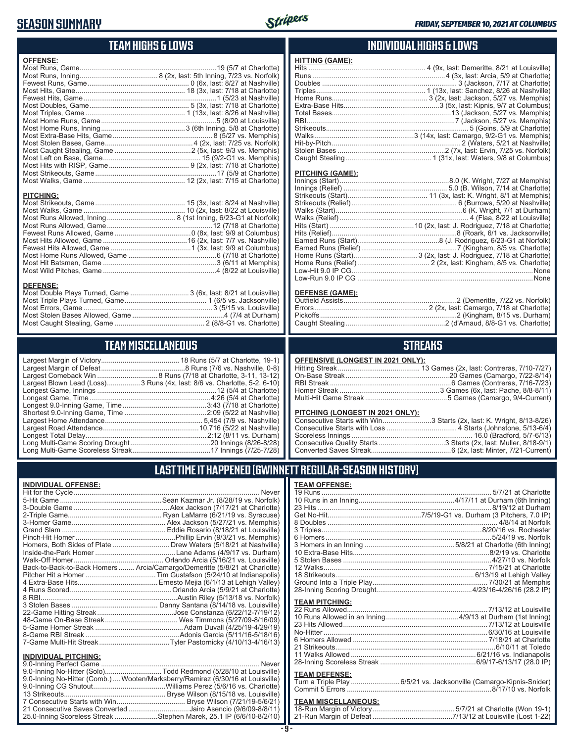### **SEASON SUMMARY**



### **TEAM HIGHS & LOWS**

| <b>OFFENSE:</b>                                                                     |  |
|-------------------------------------------------------------------------------------|--|
|                                                                                     |  |
|                                                                                     |  |
|                                                                                     |  |
|                                                                                     |  |
|                                                                                     |  |
|                                                                                     |  |
|                                                                                     |  |
|                                                                                     |  |
|                                                                                     |  |
|                                                                                     |  |
|                                                                                     |  |
|                                                                                     |  |
|                                                                                     |  |
|                                                                                     |  |
|                                                                                     |  |
|                                                                                     |  |
| <b>PITCHING:</b>                                                                    |  |
|                                                                                     |  |
| <b>DEFENSE:</b><br>Most Double Plays Turned, Game  3 (6x, last: 8/21 at Louisville) |  |

#### **TEAM MISCELLANEOUS**

Most Stolen Bases Allowed, Game ...............................................4 (7/4 at Durham) Most Caught Stealing, Game .............................................. 2 (8/8-G1 vs. Charlotte)

| Largest Blown Lead (Loss)3 Runs (4x, last: 8/6 vs. Charlotte, 5-2, 6-10) |
|--------------------------------------------------------------------------|
|                                                                          |
|                                                                          |
|                                                                          |
|                                                                          |
|                                                                          |
| .10,716 (5/22 at Nashville)                                              |
|                                                                          |
|                                                                          |
|                                                                          |

### **INDIVIDUAL HIGHS & LOWS**

| <b>HITTING (GAME):</b> |  |
|------------------------|--|
|                        |  |
|                        |  |
|                        |  |
|                        |  |
|                        |  |
|                        |  |
|                        |  |
|                        |  |
|                        |  |
|                        |  |
|                        |  |
|                        |  |
|                        |  |
|                        |  |

#### **PITCHING (GAME):**

#### **DEFENSE (GAME):**

### **STREAKS**

#### **OFFENSIVE (LONGEST IN 2021 ONLY):**

#### **PITCHING (LONGEST IN 2021 ONLY):**

| Consecutive Starts with Win3 Starts (2x, last: K. Wright, 8/13-8/26) |
|----------------------------------------------------------------------|
|                                                                      |
|                                                                      |
|                                                                      |
|                                                                      |

### **LAST TIME IT HAPPENED (GWINNETT REGULAR-SEASON HISTORY)**

#### **INDIVIDUAL OFFENSE:**

|                                                        | Homers, Both Sides of Plate  Drew Waters (5/18/21 at Nashville)            |
|--------------------------------------------------------|----------------------------------------------------------------------------|
|                                                        |                                                                            |
|                                                        |                                                                            |
|                                                        | Back-to-Back-to-Back Homers  Arcia/Camargo/Demeritte (5/8/21 at Charlotte) |
|                                                        |                                                                            |
|                                                        |                                                                            |
|                                                        |                                                                            |
|                                                        |                                                                            |
|                                                        |                                                                            |
|                                                        |                                                                            |
|                                                        |                                                                            |
|                                                        |                                                                            |
|                                                        |                                                                            |
|                                                        |                                                                            |
|                                                        |                                                                            |
| <b>INDIVIDUAL PITCHING:</b><br>0.0 Inning Dorfoot Camp | Nover                                                                      |
|                                                        |                                                                            |

| 9.0-Inning No-Hitter (Solo)Todd Redmond (5/28/10 at Louisville)                |  |
|--------------------------------------------------------------------------------|--|
| 9.0-Inning No-Hitter (Comb.) Wooten/Marksberry/Ramirez (6/30/16 at Louisville) |  |
|                                                                                |  |
|                                                                                |  |
|                                                                                |  |
| 21 Consecutive Saves Converted Jairo Asencio (9/6/09-8/8/11)                   |  |
| 25.0-Inning Scoreless Streak Stephen Marek, 25.1 IP (6/6/10-8/2/10)            |  |
|                                                                                |  |

#### **TEAM OFFENSE:**

| <b>TEAM PITCHING:</b> |                                                                     |
|-----------------------|---------------------------------------------------------------------|
|                       |                                                                     |
|                       |                                                                     |
|                       |                                                                     |
|                       |                                                                     |
|                       |                                                                     |
|                       |                                                                     |
|                       |                                                                     |
|                       |                                                                     |
|                       |                                                                     |
| <b>TEAM DEFENSE:</b>  |                                                                     |
|                       | Turn a Triple Play  6/5/21 vs. Jacksonville (Camargo-Kipnis-Snider) |
|                       |                                                                     |

| <b>TEAM MISCELLANEOUS:</b> |  |
|----------------------------|--|
|                            |  |
|                            |  |